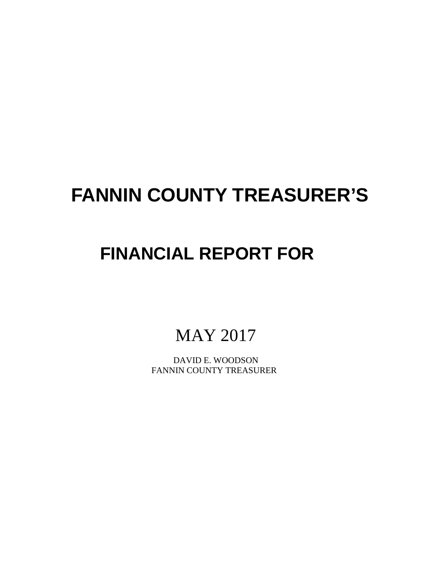# **FANNIN COUNTY TREASURER'S**

# **FINANCIAL REPORT FOR**

## MAY 2017

 DAVID E. WOODSON FANNIN COUNTY TREASURER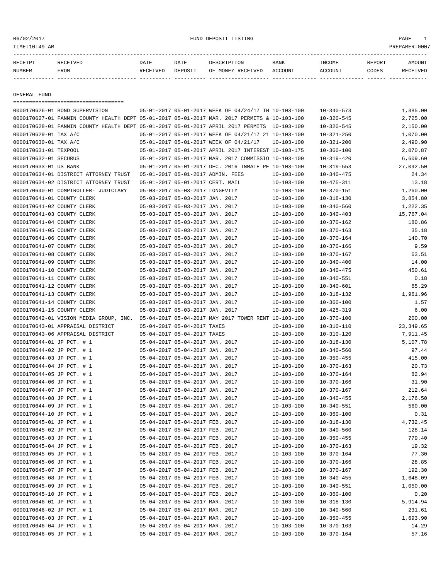| RECEIPT | RECEIVED | DATE     | DATE    | DESCRIPTION       | <b>BANK</b> | INCOME  | REPORT | AMOUNT          |
|---------|----------|----------|---------|-------------------|-------------|---------|--------|-----------------|
| NUMBER  | FROM     | RECEIVED | DEPOSIT | OF MONEY RECEIVED | ACCOUNT     | ACCOUNT | CODES  | <b>RECEIVED</b> |
|         |          |          |         |                   |             |         |        |                 |

GENERAL FUND

=================================== 0000170626-01 BOND SUPERVISION 05-01-2017 05-01-2017 WEEK OF 04/24/17 TH 10-103-100 10-340-573 1,385.00 0000170627-01 FANNIN COUNTY HEALTH DEPT 05-01-2017 05-01-2017 MAR. 2017 PERMITS & 10-103-100 10-320-545 2,725.00 0000170628-01 FANNIN COUNTY HEALTH DEPT 05-01-2017 05-01-2017 APRIL 2017 PERMITS 10-103-100 10-320-545 2,150.00 0000170629-01 TAX A/C 05-01-2017 05-01-2017 05-01-2017 WEEK OF 04/21/17 21 10-103-100 10-321-250 1,070.00 0000170630-01 TAX A/C 05-01-2017 05-01-2017 05-01-2017 WEEK OF 04/21/17 10-103-100 10-321-200 2,490.90 0000170631-01 TEXPOOL 05-01-2017 05-01-2017 APRIL 2017 INTEREST 10-103-175 10-360-100 2,070.87 0000170632-01 SECURUS 05-01-2017 05-01-2017 MAR. 2017 COMMISSIO 10-103-100 10-319-420 6,609.60 0000170633-01 US BANK 05-01-2017 05-01-2017 DEC. 2016 INMATE PE 10-103-100 10-319-553 27,092.50 0000170634-01 DISTRICT ATTORNEY TRUST 05-01-2017 05-01-2017 ADMIN. FEES 10-103-100 10-340-475 24.34 0000170634-02 DISTRICT ATTORNEY TRUST 05-01-2017 05-01-2017 CERT. MAIL  $10-103-100$  10-475-311 13.18 0000170640-01 COMPTROLLER- JUDICIARY 05-03-2017 05-03-2017 LONGEVITY 10-103-100 10-370-151 1,260.00 0000170641-01 COUNTY CLERK 05-03-2017 05-03-2017 JAN. 2017 10-103-100 10-318-130 3,854.80 0000170641-02 COUNTY CLERK 05-03-2017 05-03-2017 JAN. 2017 10-103-100 10-340-560 1,222.35 0000170641-03 COUNTY CLERK 05-03-2017 05-03-2017 JAN. 2017 10-103-100 10-340-403 15,767.04 0000170641-04 COUNTY CLERK 05-03-2017 05-03-2017 JAN. 2017 10-103-100 10-370-162 180.86 0000170641-05 COUNTY CLERK 05-03-2017 05-03-2017 JAN. 2017 10-103-100 10-370-163 35.18 0000170641-06 COUNTY CLERK 05-03-2017 05-03-2017 JAN. 2017 10-103-100 10-370-164 140.70 0000170641-07 COUNTY CLERK 05-03-2017 05-03-2017 JAN. 2017 10-103-100 10-370-166 9.59 0000170641-08 COUNTY CLERK 05-03-2017 05-03-2017 JAN. 2017 10-103-100 10-370-167 63.51 0000170641-09 COUNTY CLERK 05-03-2017 05-03-2017 JAN. 2017 10-103-100 10-340-400 14.00 0000170641-10 COUNTY CLERK 05-03-2017 05-03-2017 JAN. 2017 10-103-100 10-340-475 450.61 0000170641-11 COUNTY CLERK 05-03-2017 05-03-2017 JAN. 2017 10-103-100 10-340-551 0.18 0000170641-12 COUNTY CLERK 05-03-2017 05-03-2017 JAN. 2017 10-103-100 10-340-601 65.29 0000170641-13 COUNTY CLERK 05-03-2017 05-03-2017 JAN. 2017 10-103-100 10-318-132 1,961.96 0000170641-14 COUNTY CLERK 05-03-2017 05-03-2017 JAN. 2017 10-103-100 10-360-100 1.57 0000170641-15 COUNTY CLERK 05-03-2017 05-03-2017 JAN. 2017 10-103-100 10-425-319 6.00 0000170642-01 VISION MEDIA GROUP, INC. 05-04-2017 05-04-2017 MAY 2017 TOWER RENT 10-103-100 10-370-100 200.00 0000170643-01 APPRAISAL DISTRICT 05-04-2017 05-04-2017 TAXES 10-103-100 10-310-110 23,349.65 0000170643-06 APPRAISAL DISTRICT 05-04-2017 05-04-2017 TAXES 10-103-100 10-310-120 7,911.45 0000170644-01 JP PCT. # 1 05-04-2017 05-04-2017 JAN. 2017 10-103-100 10-318-130 5,107.78 0000170644-02 JP PCT. # 1 05-04-2017 05-04-2017 JAN. 2017 10-103-100 10-340-560 97.44 0000170644-03 JP PCT. # 1 05-04-2017 05-04-2017 JAN. 2017 10-103-100 10-350-455 415.00 0000170644-04 JP PCT. # 1 05-04-2017 05-04-2017 JAN. 2017 10-103-100 10-370-163 20.73 0000170644-05 JP PCT. # 1 05-04-2017 05-04-2017 JAN. 2017 10-103-100 10-370-164 82.94 0000170644-06 JP PCT. # 1 05-04-2017 05-04-2017 JAN. 2017 10-103-100 10-370-166 31.90 0000170644-07 JP PCT. # 1 05-04-2017 05-04-2017 JAN. 2017 10-103-100 10-370-167 212.64 0000170644-08 JP PCT. # 1 05-04-2017 05-04-2017 JAN. 2017 10-103-100 10-340-455 2,176.50 0000170644-09 JP PCT. # 1 05-04-2017 05-04-2017 JAN. 2017 10-103-100 10-340-551 560.00 0000170644-10 JP PCT. # 1 05-04-2017 05-04-2017 JAN. 2017 10-103-100 10-360-100 0.31 0000170645-01 JP PCT. # 1 05-04-2017 05-04-2017 FEB. 2017 10-103-100 10-318-130 4,732.45 0000170645-02 JP PCT. # 1 05-04-2017 05-04-2017 FEB. 2017 10-103-100 10-340-560 128.14 0000170645-03 JP PCT. # 1 05-04-2017 05-04-2017 FEB. 2017 10-103-100 10-350-455 779.40 0000170645-04 JP PCT. # 1 05-04-2017 05-04-2017 FEB. 2017 10-103-100 10-370-163 19.32 0000170645-05 JP PCT. # 1 05-04-2017 05-04-2017 FEB. 2017 10-103-100 10-370-164 77.30 0000170645-06 JP PCT. # 1 05-04-2017 05-04-2017 FEB. 2017 10-103-100 10-370-166 28.85 0000170645-07 JP PCT. # 1 05-04-2017 05-04-2017 FEB. 2017 10-103-100 10-370-167 192.30 0000170645-08 JP PCT. # 1 05-04-2017 05-04-2017 FEB. 2017 10-103-100 10-340-455 1,648.09 0000170645-09 JP PCT. # 1 05-04-2017 05-04-2017 FEB. 2017 10-103-100 10-340-551 1,050.00 0000170645-10 JP PCT. # 1 05-04-2017 05-04-2017 FEB. 2017 10-103-100 10-360-100 0.20 0000170646-01 JP PCT. # 1 05-04-2017 05-04-2017 MAR. 2017 10-103-100 10-318-130 5,914.94 0000170646-02 JP PCT. # 1 05-04-2017 05-04-2017 MAR. 2017 10-103-100 10-340-560 231.61 0000170646-03 JP PCT. # 1 05-04-2017 05-04-2017 MAR. 2017 10-103-100 10-350-455 1,693.90 0000170646-04 JP PCT. # 1 05-04-2017 05-04-2017 MAR. 2017 10-103-100 10-370-163 14.29 0000170646-05 JP PCT. # 1 05-04-2017 05-04-2017 MAR. 2017 10-103-100 10-370-164 57.16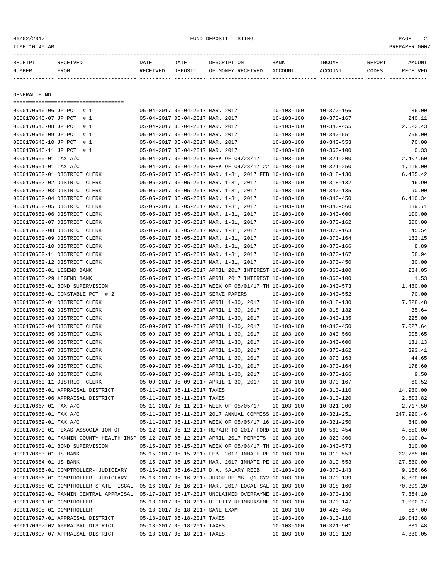06/02/2017 FUND DEPOSIT LISTING PAGE 2

| RECEIPT                   | RECEIVED                                                                                    | DATE     | DATE                            | DESCRIPTION                                          | BANK             | INCOME           | REPORT | AMOUNT     |
|---------------------------|---------------------------------------------------------------------------------------------|----------|---------------------------------|------------------------------------------------------|------------------|------------------|--------|------------|
| NUMBER                    | FROM                                                                                        | RECEIVED | DEPOSIT                         | OF MONEY RECEIVED                                    | ACCOUNT          | <b>ACCOUNT</b>   | CODES  | RECEIVED   |
|                           |                                                                                             |          |                                 |                                                      |                  |                  |        |            |
|                           |                                                                                             |          |                                 |                                                      |                  |                  |        |            |
| GENERAL FUND              | ======================================                                                      |          |                                 |                                                      |                  |                  |        |            |
| 0000170646-06 JP PCT. # 1 |                                                                                             |          | 05-04-2017 05-04-2017 MAR. 2017 |                                                      | $10 - 103 - 100$ | $10 - 370 - 166$ |        | 36.00      |
| 0000170646-07 JP PCT. # 1 |                                                                                             |          | 05-04-2017 05-04-2017 MAR. 2017 |                                                      | $10 - 103 - 100$ | $10 - 370 - 167$ |        | 240.11     |
| 0000170646-08 JP PCT. # 1 |                                                                                             |          | 05-04-2017 05-04-2017 MAR. 2017 |                                                      | $10 - 103 - 100$ | $10 - 340 - 455$ |        | 2,622.43   |
| 0000170646-09 JP PCT. # 1 |                                                                                             |          | 05-04-2017 05-04-2017 MAR. 2017 |                                                      | $10 - 103 - 100$ | $10 - 340 - 551$ |        | 765.00     |
| 0000170646-10 JP PCT. # 1 |                                                                                             |          | 05-04-2017 05-04-2017 MAR. 2017 |                                                      | $10 - 103 - 100$ | $10 - 340 - 553$ |        | 70.00      |
| 0000170646-11 JP PCT. # 1 |                                                                                             |          | 05-04-2017 05-04-2017 MAR. 2017 |                                                      | $10 - 103 - 100$ | $10 - 360 - 100$ |        | 0.33       |
| 0000170650-01 TAX A/C     |                                                                                             |          |                                 | 05-04-2017 05-04-2017 WEEK OF 04/28/17               | $10 - 103 - 100$ | $10 - 321 - 200$ |        | 2,407.50   |
| 0000170651-01 TAX A/C     |                                                                                             |          |                                 | 05-04-2017 05-04-2017 WEEK OF 04/28/17 22 10-103-100 |                  | $10 - 321 - 250$ |        | 1,115.00   |
|                           | 0000170652-01 DISTRICT CLERK                                                                |          |                                 | 05-05-2017 05-05-2017 MAR. 1-31, 2017 FEB 10-103-100 |                  | $10 - 318 - 130$ |        | 6,485.42   |
|                           | 0000170652-02 DISTRICT CLERK                                                                |          |                                 | 05-05-2017 05-05-2017 MAR. 1-31, 2017                | $10 - 103 - 100$ | $10 - 318 - 132$ |        | 46.90      |
|                           | 0000170652-03 DISTRICT CLERK                                                                |          |                                 | 05-05-2017 05-05-2017 MAR. 1-31, 2017                | $10 - 103 - 100$ | $10 - 340 - 135$ |        | 90.00      |
|                           | 0000170652-04 DISTRICT CLERK                                                                |          |                                 | 05-05-2017 05-05-2017 MAR. 1-31, 2017                | $10 - 103 - 100$ | $10 - 340 - 450$ |        | 6,410.34   |
|                           | 0000170652-05 DISTRICT CLERK                                                                |          |                                 | 05-05-2017 05-05-2017 MAR. 1-31, 2017                | $10 - 103 - 100$ | $10 - 340 - 560$ |        | 839.71     |
|                           | 0000170652-06 DISTRICT CLERK                                                                |          |                                 | 05-05-2017 05-05-2017 MAR. 1-31, 2017                | 10-103-100       | $10 - 340 - 600$ |        | 100.00     |
|                           | 0000170652-07 DISTRICT CLERK                                                                |          |                                 | 05-05-2017 05-05-2017 MAR. 1-31, 2017                | 10-103-100       | $10 - 370 - 162$ |        | 300.00     |
|                           | 0000170652-08 DISTRICT CLERK                                                                |          |                                 | 05-05-2017 05-05-2017 MAR. 1-31, 2017                | $10 - 103 - 100$ | $10 - 370 - 163$ |        | 45.54      |
|                           | 0000170652-09 DISTRICT CLERK                                                                |          |                                 | 05-05-2017 05-05-2017 MAR. 1-31, 2017                | $10 - 103 - 100$ | $10 - 370 - 164$ |        | 182.15     |
|                           | 0000170652-10 DISTRICT CLERK                                                                |          |                                 | 05-05-2017 05-05-2017 MAR. 1-31, 2017                | $10 - 103 - 100$ | $10 - 370 - 166$ |        | 8.89       |
|                           | 0000170652-11 DISTRICT CLERK                                                                |          |                                 | 05-05-2017 05-05-2017 MAR. 1-31, 2017                | 10-103-100       | $10 - 370 - 167$ |        | 58.94      |
|                           | 0000170652-12 DISTRICT CLERK                                                                |          |                                 | 05-05-2017 05-05-2017 MAR. 1-31, 2017                | $10 - 103 - 100$ | $10 - 370 - 450$ |        | 30.00      |
| 0000170653-01 LEGEND BANK |                                                                                             |          |                                 | 05-05-2017 05-05-2017 APRIL 2017 INTEREST 10-103-100 |                  | $10 - 360 - 100$ |        | 284.05     |
| 0000170653-29 LEGEND BANK |                                                                                             |          |                                 | 05-05-2017 05-05-2017 APRIL 2017 INTEREST 10-100-100 |                  | $10 - 360 - 100$ |        | 1.53       |
|                           | 0000170656-01 BOND SUPERVISION                                                              |          |                                 | 05-08-2017 05-08-2017 WEEK OF 05/01/17 TH 10-103-100 |                  | $10 - 340 - 573$ |        | 1,480.00   |
|                           | 0000170658-01 CONSTABLE PCT. # 2                                                            |          |                                 | 05-08-2017 05-08-2017 SERVE PAPERS                   | $10 - 103 - 100$ | $10 - 340 - 552$ |        | 70.00      |
|                           | 0000170660-01 DISTRICT CLERK                                                                |          |                                 | 05-09-2017 05-09-2017 APRIL 1-30, 2017               | $10 - 103 - 100$ | $10 - 318 - 130$ |        | 7,328.48   |
|                           | 0000170660-02 DISTRICT CLERK                                                                |          |                                 | 05-09-2017 05-09-2017 APRIL 1-30, 2017               | 10-103-100       | $10 - 318 - 132$ |        | 35.64      |
|                           | 0000170660-03 DISTRICT CLERK                                                                |          |                                 | 05-09-2017 05-09-2017 APRIL 1-30, 2017               | $10 - 103 - 100$ | $10 - 340 - 135$ |        | 225.00     |
|                           | 0000170660-04 DISTRICT CLERK                                                                |          |                                 | 05-09-2017 05-09-2017 APRIL 1-30, 2017               | $10 - 103 - 100$ | $10 - 340 - 450$ |        | 7,027.64   |
|                           | 0000170660-05 DISTRICT CLERK                                                                |          |                                 | 05-09-2017 05-09-2017 APRIL 1-30, 2017               | $10 - 103 - 100$ | $10 - 340 - 560$ |        | 905.65     |
|                           | 0000170660-06 DISTRICT CLERK                                                                |          |                                 | 05-09-2017 05-09-2017 APRIL 1-30, 2017               | $10 - 103 - 100$ | $10 - 340 - 600$ |        | 131.13     |
|                           | 0000170660-07 DISTRICT CLERK                                                                |          |                                 | 05-09-2017 05-09-2017 APRIL 1-30, 2017               | $10 - 103 - 100$ | $10 - 370 - 162$ |        | 393.41     |
|                           | 0000170660-08 DISTRICT CLERK                                                                |          |                                 | 05-09-2017 05-09-2017 APRIL 1-30, 2017               | $10 - 103 - 100$ | $10 - 370 - 163$ |        | 44.65      |
|                           | 0000170660-09 DISTRICT CLERK                                                                |          |                                 | 05-09-2017 05-09-2017 APRIL 1-30, 2017               | $10 - 103 - 100$ | $10 - 370 - 164$ |        | 178.60     |
|                           | 0000170660-10 DISTRICT CLERK                                                                |          |                                 | 05-09-2017 05-09-2017 APRIL 1-30, 2017               | $10 - 103 - 100$ | $10 - 370 - 166$ |        | 9.50       |
|                           | 0000170660-11 DISTRICT CLERK                                                                |          |                                 | 05-09-2017 05-09-2017 APRIL 1-30, 2017               | $10 - 103 - 100$ | $10 - 370 - 167$ |        | 60.52      |
|                           | 0000170665-01 APPRAISAL DISTRICT                                                            |          | 05-11-2017 05-11-2017 TAXES     |                                                      | $10 - 103 - 100$ | $10 - 310 - 110$ |        | 14,980.00  |
|                           | 0000170665-06 APPRAISAL DISTRICT                                                            |          | 05-11-2017 05-11-2017 TAXES     |                                                      | $10 - 103 - 100$ | $10 - 310 - 120$ |        | 2,603.82   |
| 0000170667-01 TAX A/C     |                                                                                             |          |                                 | 05-11-2017 05-11-2017 WEEK OF 05/05/17               | $10 - 103 - 100$ | $10 - 321 - 200$ |        | 2,717.50   |
| 0000170668-01 TAX A/C     |                                                                                             |          |                                 | 05-11-2017 05-11-2017 2017 ANNUAL COMMISS 10-103-100 |                  | $10 - 321 - 251$ |        | 247,920.46 |
| 0000170669-01 TAX A/C     |                                                                                             |          |                                 | 05-11-2017 05-11-2017 WEEK OF 05/05/17 16 10-103-100 |                  | $10 - 321 - 250$ |        | 840.00     |
|                           | 0000170679-01 TEXAS ASSOCIATION OF                                                          |          |                                 | 05-12-2017 05-12-2017 REPAIR TO 2017 FORD 10-103-100 |                  | $10 - 560 - 454$ |        | 4,550.00   |
|                           | 0000170680-01 FANNIN COUNTY HEALTH INSP 05-12-2017 05-12-2017 APRIL 2017 PERMITS 10-103-100 |          |                                 |                                                      |                  | $10 - 320 - 300$ |        | 9,110.04   |
|                           | 0000170682-01 BOND SUPERVISION                                                              |          |                                 | 05-15-2017 05-15-2017 WEEK OF 05/08/17 TH 10-103-100 |                  | $10 - 340 - 573$ |        | 310.00     |
| 0000170683-01 US BANK     |                                                                                             |          |                                 | 05-15-2017 05-15-2017 FEB. 2017 INMATE PE 10-103-100 |                  | $10 - 319 - 553$ |        | 22,765.00  |
| 0000170684-01 US BANK     |                                                                                             |          |                                 | 05-15-2017 05-15-2017 MAR. 2017 INMATE PE 10-103-100 |                  | $10 - 319 - 553$ |        | 27,580.00  |
|                           | 0000170685-01 COMPTROLLER- JUDICIARY                                                        |          |                                 | 05-16-2017 05-16-2017 D.A. SALARY REIB.              | $10 - 103 - 100$ | $10 - 370 - 143$ |        | 9,166.66   |
|                           | 0000170686-01 COMPTROLLER- JUDICIARY                                                        |          |                                 | 05-16-2017 05-16-2017 JUROR REIMB. Q1 CY2 10-103-100 |                  | $10 - 370 - 139$ |        | 6,800.00   |
|                           | 0000170688-01 COMPTROLLER-STATE FISCAL                                                      |          |                                 | 05-16-2017 05-16-2017 MAR. 2017 LOCAL SAL 10-103-100 |                  | $10 - 318 - 160$ |        | 70,309.20  |
|                           | 0000170690-01 FANNIN CENTRAL APPRAISAL                                                      |          |                                 | 05-17-2017 05-17-2017 UNCLAIMED OVERPAYME 10-103-100 |                  | $10 - 370 - 130$ |        | 7,864.10   |
| 0000170691-01 COMPTROLLER |                                                                                             |          |                                 | 05-18-2017 05-18-2017 UTILITY REIMBURSEME 10-103-100 |                  | $10 - 370 - 147$ |        | 1,000.17   |
| 0000170695-01 COMPTROLLER |                                                                                             |          | 05-18-2017 05-18-2017 SANE EXAM |                                                      | 10-103-100       | $10 - 425 - 465$ |        | 567.00     |
|                           | 0000170697-01 APPRAISAL DISTRICT                                                            |          | 05-18-2017 05-18-2017 TAXES     |                                                      | $10 - 103 - 100$ | $10 - 310 - 110$ |        | 19,042.68  |
|                           | 0000170697-02 APPRAISAL DISTRICT                                                            |          | 05-18-2017 05-18-2017 TAXES     |                                                      | $10 - 103 - 100$ | $10 - 321 - 901$ |        | 831.48     |
|                           | 0000170697-07 APPRAISAL DISTRICT                                                            |          | 05-18-2017 05-18-2017 TAXES     |                                                      | $10 - 103 - 100$ | $10 - 310 - 120$ |        | 4,880.05   |
|                           |                                                                                             |          |                                 |                                                      |                  |                  |        |            |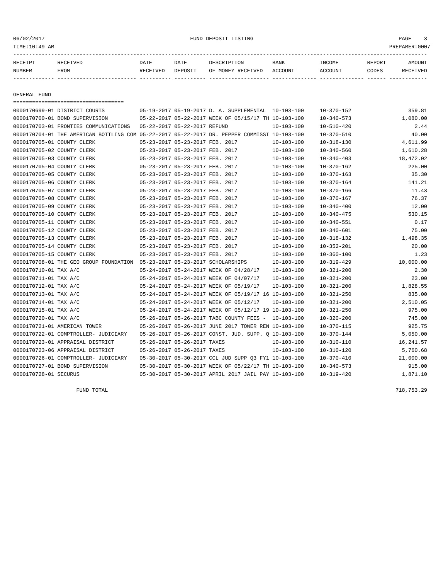#### 06/02/2017 FUND DEPOSIT LISTING PAGE 3

| RECEIPT | <b>RECEIVED</b> | DATE     | DATE           | DESCRIPTION       | <b>BANK</b> | <b>INCOME</b> | REPORT | <b>AMOUNT</b>   |
|---------|-----------------|----------|----------------|-------------------|-------------|---------------|--------|-----------------|
| NUMBER  | FROM            | RECEIVED | <b>DEPOSIT</b> | OF MONEY RECEIVED | ACCOUNT     | ACCOUNT       | CODES  | <b>RECEIVED</b> |
|         |                 |          |                |                   |             |               |        |                 |

GENERAL FUND

|                               | ======================================                                                       |                              |                                 |                                                      |                  |                  |           |
|-------------------------------|----------------------------------------------------------------------------------------------|------------------------------|---------------------------------|------------------------------------------------------|------------------|------------------|-----------|
| 0000170699-01 DISTRICT COURTS |                                                                                              |                              |                                 | 05-19-2017 05-19-2017 D. A. SUPPLEMENTAL 10-103-100  |                  | $10 - 370 - 152$ | 359.81    |
|                               | 0000170700-01 BOND SUPERVISION                                                               |                              |                                 | 05-22-2017 05-22-2017 WEEK OF 05/15/17 TH 10-103-100 |                  | $10 - 340 - 573$ | 1,080.00  |
|                               | 0000170703-01 FRONTIES COMMUNICATIONS                                                        | 05-22-2017 05-22-2017 REFUND |                                 |                                                      | $10 - 103 - 100$ | $10 - 510 - 420$ | 2.44      |
|                               | 0000170704-01 THE AMERICAN BOTTLING COM 05-22-2017 05-22-2017 DR. PEPPER COMMISSI 10-103-100 |                              |                                 |                                                      |                  | $10 - 370 - 510$ | 40.00     |
| 0000170705-01 COUNTY CLERK    |                                                                                              |                              | 05-23-2017 05-23-2017 FEB. 2017 |                                                      | $10 - 103 - 100$ | $10 - 318 - 130$ | 4,611.99  |
| 0000170705-02 COUNTY CLERK    |                                                                                              |                              | 05-23-2017 05-23-2017 FEB. 2017 |                                                      | $10 - 103 - 100$ | $10 - 340 - 560$ | 1,610.28  |
| 0000170705-03 COUNTY CLERK    |                                                                                              |                              | 05-23-2017 05-23-2017 FEB. 2017 |                                                      | $10 - 103 - 100$ | $10 - 340 - 403$ | 18,472.02 |
| 0000170705-04 COUNTY CLERK    |                                                                                              |                              | 05-23-2017 05-23-2017 FEB. 2017 |                                                      | $10 - 103 - 100$ | $10 - 370 - 162$ | 225.00    |
| 0000170705-05 COUNTY CLERK    |                                                                                              |                              | 05-23-2017 05-23-2017 FEB. 2017 |                                                      | $10 - 103 - 100$ | $10 - 370 - 163$ | 35.30     |
| 0000170705-06 COUNTY CLERK    |                                                                                              |                              | 05-23-2017 05-23-2017 FEB. 2017 |                                                      | $10 - 103 - 100$ | $10 - 370 - 164$ | 141.21    |
| 0000170705-07 COUNTY CLERK    |                                                                                              |                              | 05-23-2017 05-23-2017 FEB. 2017 |                                                      | $10 - 103 - 100$ | $10 - 370 - 166$ | 11.43     |
| 0000170705-08 COUNTY CLERK    |                                                                                              |                              | 05-23-2017 05-23-2017 FEB. 2017 |                                                      | $10 - 103 - 100$ | $10 - 370 - 167$ | 76.37     |
| 0000170705-09 COUNTY CLERK    |                                                                                              |                              | 05-23-2017 05-23-2017 FEB. 2017 |                                                      | $10 - 103 - 100$ | $10 - 340 - 400$ | 12.00     |
| 0000170705-10 COUNTY CLERK    |                                                                                              |                              | 05-23-2017 05-23-2017 FEB. 2017 |                                                      | $10 - 103 - 100$ | $10 - 340 - 475$ | 530.15    |
| 0000170705-11 COUNTY CLERK    |                                                                                              |                              | 05-23-2017 05-23-2017 FEB. 2017 |                                                      | $10 - 103 - 100$ | $10 - 340 - 551$ | 0.17      |
| 0000170705-12 COUNTY CLERK    |                                                                                              |                              | 05-23-2017 05-23-2017 FEB. 2017 |                                                      | $10 - 103 - 100$ | $10 - 340 - 601$ | 75.00     |
| 0000170705-13 COUNTY CLERK    |                                                                                              |                              | 05-23-2017 05-23-2017 FEB. 2017 |                                                      | $10 - 103 - 100$ | $10 - 318 - 132$ | 1,498.35  |
| 0000170705-14 COUNTY CLERK    |                                                                                              |                              | 05-23-2017 05-23-2017 FEB. 2017 |                                                      | $10 - 103 - 100$ | $10 - 352 - 201$ | 20.00     |
| 0000170705-15 COUNTY CLERK    |                                                                                              |                              | 05-23-2017 05-23-2017 FEB. 2017 |                                                      | $10 - 103 - 100$ | $10 - 360 - 100$ | 1.23      |
|                               | 0000170708-01 THE GEO GROUP FOUNDATION 05-23-2017 05-23-2017 SCHOLARSHIPS                    |                              |                                 |                                                      | $10 - 103 - 100$ | $10 - 319 - 429$ | 10,000.00 |
| 0000170710-01 TAX A/C         |                                                                                              |                              |                                 | 05-24-2017 05-24-2017 WEEK OF 04/28/17               | $10 - 103 - 100$ | $10 - 321 - 200$ | 2.30      |
| 0000170711-01 TAX A/C         |                                                                                              |                              |                                 | 05-24-2017 05-24-2017 WEEK OF 04/07/17               | $10 - 103 - 100$ | $10 - 321 - 200$ | 23.00     |
| 0000170712-01 TAX A/C         |                                                                                              |                              |                                 | 05-24-2017 05-24-2017 WEEK OF 05/19/17               | $10 - 103 - 100$ | $10 - 321 - 200$ | 1,828.55  |
| 0000170713-01 TAX A/C         |                                                                                              |                              |                                 | 05-24-2017 05-24-2017 WEEK OF 05/19/17 16 10-103-100 |                  | $10 - 321 - 250$ | 835.00    |
| 0000170714-01 TAX A/C         |                                                                                              |                              |                                 | 05-24-2017 05-24-2017 WEEK OF 05/12/17               | $10 - 103 - 100$ | $10 - 321 - 200$ | 2,510.05  |
| 0000170715-01 TAX A/C         |                                                                                              |                              |                                 | 05-24-2017 05-24-2017 WEEK OF 05/12/17 19 10-103-100 |                  | $10 - 321 - 250$ | 975.00    |
| 0000170720-01 TAX A/C         |                                                                                              |                              |                                 | 05-26-2017 05-26-2017 TABC COUNTY FEES - 10-103-100  |                  | $10 - 320 - 200$ | 745.00    |
| 0000170721-01 AMERICAN TOWER  |                                                                                              |                              |                                 | 05-26-2017 05-26-2017 JUNE 2017 TOWER REN 10-103-100 |                  | $10 - 370 - 115$ | 925.75    |
|                               | 0000170722-01 COMPTROLLER- JUDICIARY                                                         |                              |                                 | 05-26-2017 05-26-2017 CONST. JUD. SUPP. Q 10-103-100 |                  | $10 - 370 - 144$ | 5,050.00  |
|                               | 0000170723-01 APPRAISAL DISTRICT                                                             |                              | 05-26-2017 05-26-2017 TAXES     |                                                      | 10-103-100       | $10 - 310 - 110$ | 16,241.57 |
|                               | 0000170723-06 APPRAISAL DISTRICT                                                             |                              | 05-26-2017 05-26-2017 TAXES     |                                                      | $10 - 103 - 100$ | $10 - 310 - 120$ | 5,760.68  |
|                               | 0000170726-01 COMPTROLLER- JUDICIARY                                                         |                              |                                 | 05-30-2017 05-30-2017 CCL JUD SUPP 03 FY1 10-103-100 |                  | $10 - 370 - 410$ | 21,000.00 |
|                               | 0000170727-01 BOND SUPERVISION                                                               |                              |                                 | 05-30-2017 05-30-2017 WEEK OF 05/22/17 TH 10-103-100 |                  | $10 - 340 - 573$ | 915.00    |
| 0000170728-01 SECURUS         |                                                                                              |                              |                                 | 05-30-2017 05-30-2017 APRIL 2017 JAIL PAY 10-103-100 |                  | $10 - 319 - 420$ | 1,871.10  |

FUND TOTAL 718,753.29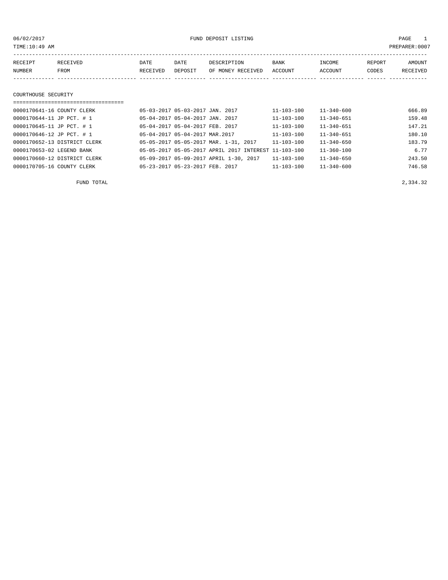06/02/2017 FUND DEPOSIT LISTING PAGE 1

| RECEIPT | RECEIVED | DATE     | DATE    | DESCRIPTION       | BANK    | INCOME  | REPORT | AMOUNT   |
|---------|----------|----------|---------|-------------------|---------|---------|--------|----------|
| NUMBER  | FROM     | RECEIVED | DEPOSIT | OF MONEY RECEIVED | ACCOUNT | ACCOUNT | CODES  | RECEIVED |
|         |          |          |         |                   |         |         |        |          |
|         |          |          |         |                   |         |         |        |          |

#### COURTHOUSE SECURITY

#### ===================================

| 0000170641-16 COUNTY CLERK   | 05-03-2017 05-03-2017 JAN. 2017        |                                                      | $11 - 103 - 100$ | $11 - 340 - 600$ | 666.89 |
|------------------------------|----------------------------------------|------------------------------------------------------|------------------|------------------|--------|
| 0000170644-11 JP PCT. # 1    | 05-04-2017 05-04-2017 JAN. 2017        |                                                      | $11 - 103 - 100$ | $11 - 340 - 651$ | 159.48 |
| 0000170645-11 JP PCT. # 1    | 05-04-2017 05-04-2017 FEB. 2017        |                                                      | $11 - 103 - 100$ | $11 - 340 - 651$ | 147.21 |
| 0000170646-12 JP PCT. # 1    | 05-04-2017 05-04-2017 MAR. 2017        |                                                      | $11 - 103 - 100$ | $11 - 340 - 651$ | 180.10 |
| 0000170652-13 DISTRICT CLERK | 05-05-2017 05-05-2017 MAR. 1-31, 2017  |                                                      | $11 - 103 - 100$ | $11 - 340 - 650$ | 183.79 |
| 0000170653-02 LEGEND BANK    |                                        | 05-05-2017 05-05-2017 APRIL 2017 INTEREST 11-103-100 |                  | $11 - 360 - 100$ | 6.77   |
| 0000170660-12 DISTRICT CLERK | 05-09-2017 05-09-2017 APRIL 1-30, 2017 |                                                      | 11-103-100       | $11 - 340 - 650$ | 243.50 |
| 0000170705-16 COUNTY CLERK   | 05-23-2017 05-23-2017 FEB. 2017        |                                                      | $11 - 103 - 100$ | $11 - 340 - 600$ | 746.58 |
|                              |                                        |                                                      |                  |                  |        |

FUND TOTAL 2,334.32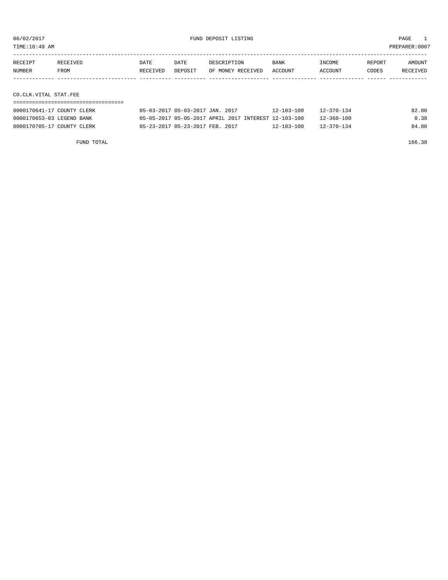TIME:10:49 AM PREPARER:0007

| RECEIPT<br>RECEIVED | DATE     | DATE    | DESCRIPTION       | <b>BANK</b> | INCOME         | REPORT | AMOUNT          |
|---------------------|----------|---------|-------------------|-------------|----------------|--------|-----------------|
| NUMBER<br>FROM      | RECEIVED | DEPOSIT | OF MONEY RECEIVED | ACCOUNT     | <b>ACCOUNT</b> | CODES  | <b>RECEIVED</b> |
|                     |          |         |                   |             |                |        |                 |

### CO.CLK.VITAL STAT.FEE

| 0000170641-17 COUNTY CLERK | 05-03-2017 05-03-2017 JAN. 2017                      | $12 - 103 - 100$ | $12 - 370 - 134$ | 82.00 |
|----------------------------|------------------------------------------------------|------------------|------------------|-------|
| 0000170653-03 LEGEND BANK  | 05-05-2017 05-05-2017 APRIL 2017 INTEREST 12-103-100 |                  | 12-360-100       | 0.38  |
| 0000170705-17 COUNTY CLERK | 05-23-2017 05-23-2017 FEB. 2017                      | $12 - 103 - 100$ | $12 - 370 - 134$ | 84.00 |

FUND TOTAL 166.38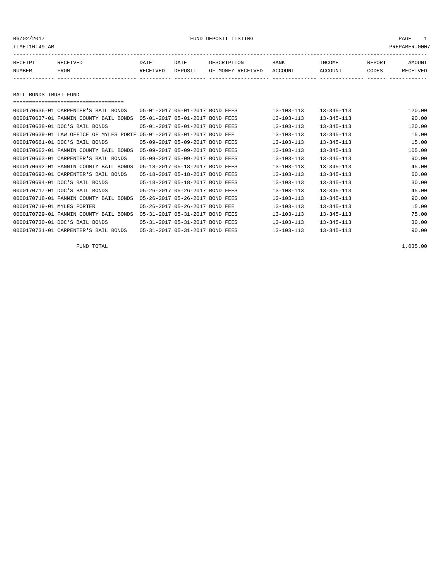#### 06/02/2017 FUND DEPOSIT LISTING PAGE 1

| RECEIPT       | RECEIVED | DATE     | DATE    | DESCRIPTION       | <b>BANK</b> | INCOME  | REPORT | <b>AMOUNT</b> |
|---------------|----------|----------|---------|-------------------|-------------|---------|--------|---------------|
| <b>NUMBER</b> | FROM     | RECEIVED | DEPOSIT | OF MONEY RECEIVED | ACCOUNT     | ACCOUNT | CODES  | RECEIVED      |
|               |          |          |         |                   |             |         |        |               |
|               |          |          |         |                   |             |         |        |               |

BAIL BONDS TRUST FUND

| ;==================================     |                                 |  |                  |                  |        |
|-----------------------------------------|---------------------------------|--|------------------|------------------|--------|
| 0000170636-01 CARPENTER'S BAIL BONDS    | 05-01-2017 05-01-2017 BOND FEES |  | 13-103-113       | $13 - 345 - 113$ | 120.00 |
| 0000170637-01 FANNIN COUNTY BAIL BONDS  | 05-01-2017 05-01-2017 BOND FEES |  | 13-103-113       | $13 - 345 - 113$ | 90.00  |
| 0000170638-01 DOC'S BAIL BONDS          | 05-01-2017 05-01-2017 BOND FEES |  | $13 - 103 - 113$ | $13 - 345 - 113$ | 120.00 |
| 0000170639-01 LAW OFFICE OF MYLES PORTE | 05-01-2017 05-01-2017 BOND FEE  |  | $13 - 103 - 113$ | $13 - 345 - 113$ | 15.00  |
| 0000170661-01 DOC'S BAIL BONDS          | 05-09-2017 05-09-2017 BOND FEES |  | $13 - 103 - 113$ | $13 - 345 - 113$ | 15.00  |
| 0000170662-01 FANNIN COUNTY BAIL BONDS  | 05-09-2017 05-09-2017 BOND FEES |  | $13 - 103 - 113$ | $13 - 345 - 113$ | 105.00 |
| 0000170663-01 CARPENTER'S BAIL BONDS    | 05-09-2017 05-09-2017 BOND FEES |  | $13 - 103 - 113$ | $13 - 345 - 113$ | 90.00  |
| 0000170692-01 FANNIN COUNTY BAIL BONDS  | 05-18-2017 05-18-2017 BOND FEES |  | 13-103-113       | $13 - 345 - 113$ | 45.00  |
| 0000170693-01 CARPENTER'S BAIL BONDS    | 05-18-2017 05-18-2017 BOND FEES |  | $13 - 103 - 113$ | $13 - 345 - 113$ | 60.00  |
| 0000170694-01 DOC'S BAIL BONDS          | 05-18-2017 05-18-2017 BOND FEES |  | 13-103-113       | $13 - 345 - 113$ | 30.00  |
| 0000170717-01 DOC'S BAIL BONDS          | 05-26-2017 05-26-2017 BOND FEES |  | $13 - 103 - 113$ | $13 - 345 - 113$ | 45.00  |
| 0000170718-01 FANNIN COUNTY BAIL BONDS  | 05-26-2017 05-26-2017 BOND FEES |  | $13 - 103 - 113$ | $13 - 345 - 113$ | 90.00  |
| 0000170719-01 MYLES PORTER              | 05-26-2017 05-26-2017 BOND FEE  |  | $13 - 103 - 113$ | $13 - 345 - 113$ | 15.00  |
| 0000170729-01 FANNIN COUNTY BAIL BONDS  | 05-31-2017 05-31-2017 BOND FEES |  | $13 - 103 - 113$ | $13 - 345 - 113$ | 75.00  |
| 0000170730-01 DOC'S BAIL BONDS          | 05-31-2017 05-31-2017 BOND FEES |  | $13 - 103 - 113$ | $13 - 345 - 113$ | 30.00  |
| 0000170731-01 CARPENTER'S BAIL BONDS    | 05-31-2017 05-31-2017 BOND FEES |  | $13 - 103 - 113$ | $13 - 345 - 113$ | 90.00  |

FUND TOTAL 1,035.00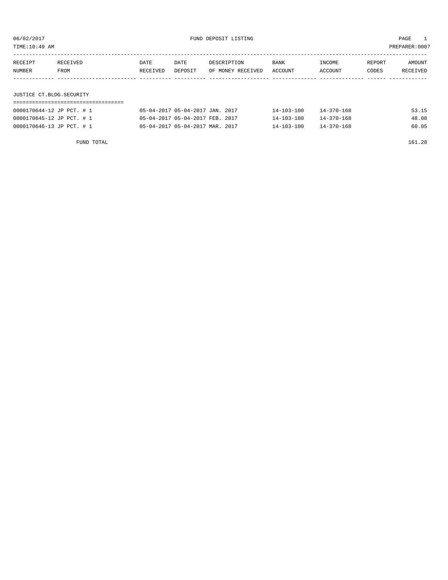| TIME:10:49 AM<br>PREPARER: 0007 |          |          |         |                   |         |         |        |          |  |
|---------------------------------|----------|----------|---------|-------------------|---------|---------|--------|----------|--|
| RECEIPT                         | RECEIVED | DATE     | DATE    | DESCRIPTION       | BANK    | INCOME  | REPORT | AMOUNT   |  |
| NUMBER                          | FROM     | RECEIVED | DEPOSIT | OF MONEY RECEIVED | ACCOUNT | ACCOUNT | CODES  | RECEIVED |  |
|                                 |          |          |         |                   |         |         |        |          |  |
| JUSTICE CT.BLDG.SECURITY        |          |          |         |                   |         |         |        |          |  |

| 0000170644-12 JP PCT. # 1 | 05-04-2017 05-04-2017 JAN. 2017 | $14 - 370 - 168$<br>$14 - 103 - 100$ | 53.15 |
|---------------------------|---------------------------------|--------------------------------------|-------|
| 0000170645-12 JP PCT. # 1 | 05-04-2017 05-04-2017 FEB. 2017 | $14 - 370 - 168$<br>$14 - 103 - 100$ | 48.08 |
| 0000170646-13 JP PCT. # 1 | 05-04-2017 05-04-2017 MAR. 2017 | 14-370-168<br>$14 - 103 - 100$       | 60.05 |

FUND TOTAL 161.28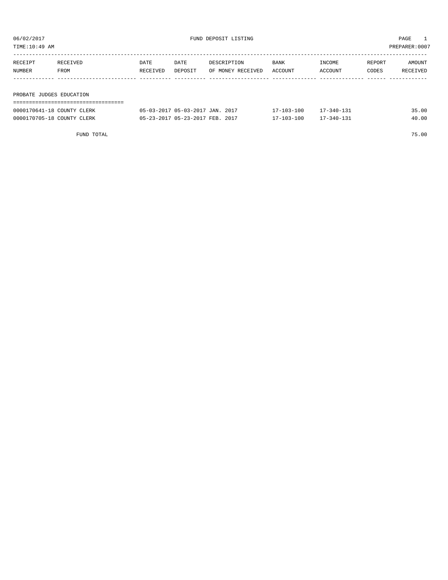TIME:10:49 AM PREPARER:0007

| RECEIVED                 | DATE     | DATE    | DESCRIPTION       | <b>BANK</b> | INCOME  | REPORT       | AMOUNT   |
|--------------------------|----------|---------|-------------------|-------------|---------|--------------|----------|
| FROM                     | RECEIVED | DEPOSIT | OF MONEY RECEIVED | ACCOUNT     | ACCOUNT | <b>CODES</b> | RECEIVED |
|                          |          |         |                   |             |         |              |          |
|                          |          |         |                   |             |         |              |          |
| PROBATE JUDGES EDUCATION |          |         |                   |             |         |              |          |
|                          |          |         |                   |             |         |              |          |
|                          |          |         |                   |             |         |              |          |

|                            | FUND TOTAL |                                 |  |            |                  | 75.00 |
|----------------------------|------------|---------------------------------|--|------------|------------------|-------|
| 0000170705-18 COUNTY CLERK |            | 05-23-2017 05-23-2017 FEB. 2017 |  | 17-103-100 | $17 - 340 - 131$ | 40.00 |
| 0000170641-18 COUNTY CLERK |            | 05-03-2017 05-03-2017 JAN. 2017 |  | 17-103-100 | $17 - 340 - 131$ | 35.00 |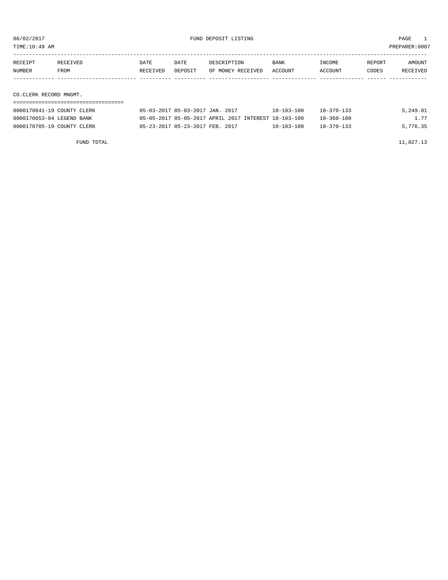TIME:10:49 AM PREPARER:0007

| RECEIPT                | RECEIVED    | DATE     | DATE    | DESCRIPTION       | BANK    | INCOME         | REPORT | AMOUNT   |
|------------------------|-------------|----------|---------|-------------------|---------|----------------|--------|----------|
| NUMBER                 | <b>FROM</b> | RECEIVED | DEPOSIT | OF MONEY RECEIVED | ACCOUNT | <b>ACCOUNT</b> | CODES  | RECEIVED |
|                        |             |          |         |                   |         |                |        |          |
|                        |             |          |         |                   |         |                |        |          |
| CO.CLERK RECORD MNGMT. |             |          |         |                   |         |                |        |          |

===================================

| 0000170641-19 COUNTY CLERK | 05-03-2017 05-03-2017 JAN. 2017                      |  | 18-103-100       | $18 - 370 - 133$ | 5,249.01 |
|----------------------------|------------------------------------------------------|--|------------------|------------------|----------|
| 0000170653-04 LEGEND BANK  | 05-05-2017 05-05-2017 APRIL 2017 INTEREST 18-103-100 |  |                  | $18 - 360 - 100$ | 1.77     |
| 0000170705-19 COUNTY CLERK | 05-23-2017 05-23-2017 FEB. 2017                      |  | $18 - 103 - 100$ | $18 - 370 - 133$ | 5,776.35 |

FUND TOTAL  $11,027.13$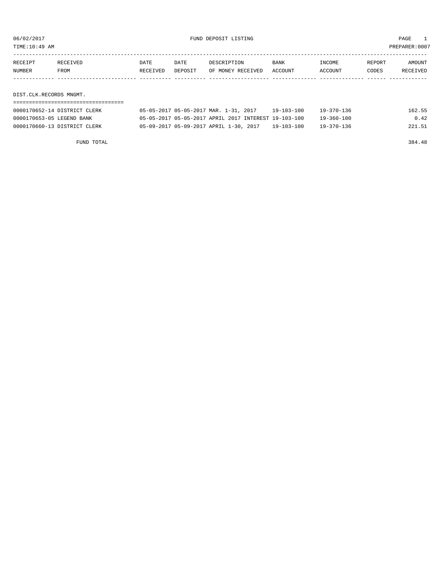TIME:10:49 AM PREPARER:0007

| RECEIPT                 | RECEIVED | <b>DATE</b> | DATE    | DESCRIPTION       | <b>BANK</b> | INCOME  | REPORT | AMOUNT   |
|-------------------------|----------|-------------|---------|-------------------|-------------|---------|--------|----------|
| NUMBER                  | FROM     | RECEIVED    | DEPOSIT | OF MONEY RECEIVED | ACCOUNT     | ACCOUNT | CODES  | RECEIVED |
|                         |          |             |         |                   |             |         |        |          |
|                         |          |             |         |                   |             |         |        |          |
| DIST.CLK.RECORDS MNGMT. |          |             |         |                   |             |         |        |          |
|                         |          |             |         |                   |             |         |        |          |

| 0000170652-14 DISTRICT CLERK | 05-05-2017 05-05-2017 MAR. 1-31, 2017  |  | $19 - 103 - 100$                                     | $19 - 370 - 136$ | 162.55 |
|------------------------------|----------------------------------------|--|------------------------------------------------------|------------------|--------|
| 0000170653-05 LEGEND BANK    |                                        |  | 05-05-2017 05-05-2017 APRIL 2017 INTEREST 19-103-100 | $19 - 360 - 100$ | 0.42   |
| 0000170660-13 DISTRICT CLERK | 05-09-2017 05-09-2017 APRIL 1-30, 2017 |  | $19 - 103 - 100$                                     | $19 - 370 - 136$ | 221.51 |

FUND TOTAL 384.48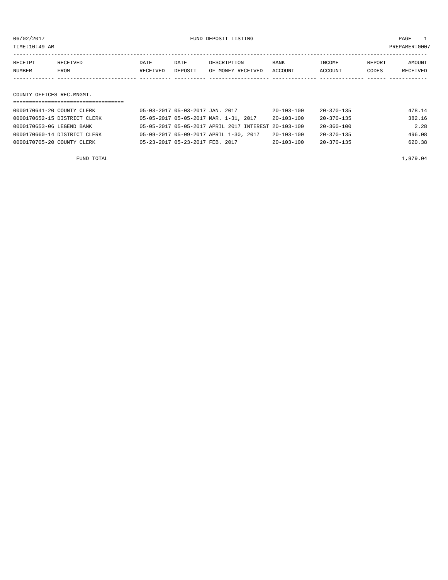06/02/2017 FUND DEPOSIT LISTING PAGE 1

| RECEIPT                   | RECEIVED | DATE     | DATE    | DESCRIPTION       | BANK    | INCOME  | REPORT | AMOUNT   |
|---------------------------|----------|----------|---------|-------------------|---------|---------|--------|----------|
| NUMBER                    | FROM     | RECEIVED | DEPOSIT | OF MONEY RECEIVED | ACCOUNT | ACCOUNT | CODES  | RECEIVED |
|                           |          |          |         |                   |         |         |        |          |
|                           |          |          |         |                   |         |         |        |          |
| COUNTY OFFICES REC.MNGMT. |          |          |         |                   |         |         |        |          |

### ===================================

| 0000170641-20 COUNTY CLERK   | 05-03-2017 05-03-2017 JAN. 2017 |                                                      | $20 - 103 - 100$ | 20-370-135       | 478.14 |
|------------------------------|---------------------------------|------------------------------------------------------|------------------|------------------|--------|
| 0000170652-15 DISTRICT CLERK |                                 | 05-05-2017 05-05-2017 MAR. 1-31, 2017                | $20 - 103 - 100$ | 20-370-135       | 382.16 |
| 0000170653-06 LEGEND BANK    |                                 | 05-05-2017 05-05-2017 APRIL 2017 INTEREST 20-103-100 |                  | 20-360-100       | 2.28   |
| 0000170660-14 DISTRICT CLERK |                                 | 05-09-2017 05-09-2017 APRIL 1-30, 2017               | $20 - 103 - 100$ | 20-370-135       | 496.08 |
| 0000170705-20 COUNTY CLERK   | 05-23-2017 05-23-2017 FEB. 2017 |                                                      | $20 - 103 - 100$ | $20 - 370 - 135$ | 620.38 |
|                              |                                 |                                                      |                  |                  |        |

FUND TOTAL  $1,979.04$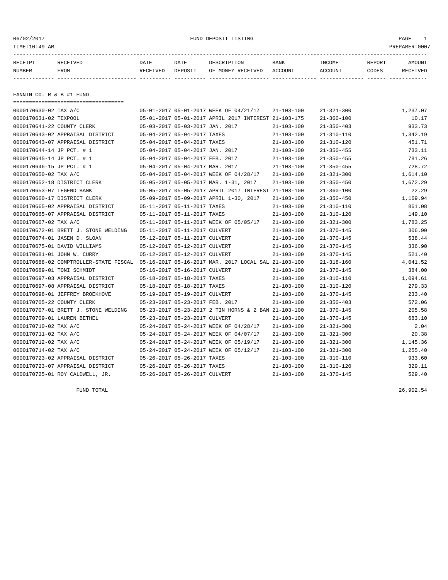06/02/2017 FUND DEPOSIT LISTING PAGE 1

| RECEIPT | <b>RECEIVED</b> | DATE     | DATE    | DESCRIPTION       | BANK    | <b>INCOME</b> | REPORT | <b>AMOUNT</b> |
|---------|-----------------|----------|---------|-------------------|---------|---------------|--------|---------------|
| NUMBER  | FROM            | RECEIVED | DEPOSIT | OF MONEY RECEIVED | ACCOUNT | ACCOUNT       | CODES  | RECEIVED      |
|         |                 |          |         |                   |         |               |        |               |

FANNIN CO. R & B #1 FUND

| =====================================  |                                 |                                                      |                  |                  |          |
|----------------------------------------|---------------------------------|------------------------------------------------------|------------------|------------------|----------|
| 0000170630-02 TAX A/C                  |                                 | 05-01-2017 05-01-2017 WEEK OF 04/21/17               | $21 - 103 - 100$ | $21 - 321 - 300$ | 1,237.07 |
| 0000170631-02 TEXPOOL                  |                                 | 05-01-2017 05-01-2017 APRIL 2017 INTEREST 21-103-175 |                  | $21 - 360 - 100$ | 10.17    |
| 0000170641-22 COUNTY CLERK             | 05-03-2017 05-03-2017 JAN. 2017 |                                                      | $21 - 103 - 100$ | $21 - 350 - 403$ | 933.73   |
| 0000170643-02 APPRAISAL DISTRICT       | 05-04-2017 05-04-2017 TAXES     |                                                      | $21 - 103 - 100$ | $21 - 310 - 110$ | 1,342.19 |
| 0000170643-07 APPRAISAL DISTRICT       | 05-04-2017 05-04-2017 TAXES     |                                                      | $21 - 103 - 100$ | $21 - 310 - 120$ | 451.71   |
| 0000170644-14 JP PCT. # 1              | 05-04-2017 05-04-2017 JAN. 2017 |                                                      | $21 - 103 - 100$ | $21 - 350 - 455$ | 733.11   |
| 0000170645-14 JP PCT. # 1              | 05-04-2017 05-04-2017 FEB. 2017 |                                                      | $21 - 103 - 100$ | $21 - 350 - 455$ | 781.26   |
| 0000170646-15 JP PCT. # 1              | 05-04-2017 05-04-2017 MAR. 2017 |                                                      | $21 - 103 - 100$ | $21 - 350 - 455$ | 728.72   |
| 0000170650-02 TAX A/C                  |                                 | 05-04-2017 05-04-2017 WEEK OF 04/28/17               | $21 - 103 - 100$ | $21 - 321 - 300$ | 1,614.10 |
| 0000170652-18 DISTRICT CLERK           |                                 | 05-05-2017 05-05-2017 MAR. 1-31, 2017                | $21 - 103 - 100$ | $21 - 350 - 450$ | 1,672.29 |
| 0000170653-07 LEGEND BANK              |                                 | 05-05-2017 05-05-2017 APRIL 2017 INTEREST 21-103-100 |                  | $21 - 360 - 100$ | 22.29    |
| 0000170660-17 DISTRICT CLERK           |                                 | 05-09-2017 05-09-2017 APRIL 1-30, 2017               | $21 - 103 - 100$ | $21 - 350 - 450$ | 1,169.94 |
| 0000170665-02 APPRAISAL DISTRICT       | 05-11-2017 05-11-2017 TAXES     |                                                      | $21 - 103 - 100$ | $21 - 310 - 110$ | 861.08   |
| 0000170665-07 APPRAISAL DISTRICT       | 05-11-2017 05-11-2017 TAXES     |                                                      | $21 - 103 - 100$ | $21 - 310 - 120$ | 149.10   |
| 0000170667-02 TAX A/C                  |                                 | 05-11-2017 05-11-2017 WEEK OF 05/05/17               | $21 - 103 - 100$ | $21 - 321 - 300$ | 1,783.25 |
| 0000170672-01 BRETT J. STONE WELDING   | 05-11-2017 05-11-2017 CULVERT   |                                                      | $21 - 103 - 100$ | $21 - 370 - 145$ | 306.90   |
| 0000170674-01 JASEN D. SLOAN           | 05-12-2017 05-11-2017 CULVERT   |                                                      | $21 - 103 - 100$ | $21 - 370 - 145$ | 538.44   |
| 0000170675-01 DAVID WILLIAMS           | 05-12-2017 05-12-2017 CULVERT   |                                                      | $21 - 103 - 100$ | $21 - 370 - 145$ | 336.90   |
| 0000170681-01 JOHN W. CURRY            | 05-12-2017 05-12-2017 CULVERT   |                                                      | $21 - 103 - 100$ | $21 - 370 - 145$ | 521.40   |
| 0000170688-02 COMPTROLLER-STATE FISCAL |                                 | 05-16-2017 05-16-2017 MAR. 2017 LOCAL SAL 21-103-100 |                  | $21 - 318 - 160$ | 4,041.52 |
| 0000170689-01 TONI SCHMIDT             | 05-16-2017 05-16-2017 CULVERT   |                                                      | $21 - 103 - 100$ | $21 - 370 - 145$ | 384.00   |
| 0000170697-03 APPRAISAL DISTRICT       | 05-18-2017 05-18-2017 TAXES     |                                                      | $21 - 103 - 100$ | $21 - 310 - 110$ | 1,094.61 |
| 0000170697-08 APPRAISAL DISTRICT       | 05-18-2017 05-18-2017 TAXES     |                                                      | $21 - 103 - 100$ | $21 - 310 - 120$ | 279.33   |
| 0000170698-01 JEFFREY BROEKHOVE        | 05-19-2017 05-19-2017 CULVERT   |                                                      | $21 - 103 - 100$ | $21 - 370 - 145$ | 233.40   |
| 0000170705-22 COUNTY CLERK             | 05-23-2017 05-23-2017 FEB. 2017 |                                                      | $21 - 103 - 100$ | $21 - 350 - 403$ | 572.06   |
| 0000170707-01 BRETT J. STONE WELDING   |                                 | 05-23-2017 05-23-2017 2 TIN HORNS & 2 BAN 21-103-100 |                  | $21 - 370 - 145$ | 205.58   |
| 0000170709-01 LAUREN BETHEL            | 05-23-2017 05-23-2017 CULVERT   |                                                      | $21 - 103 - 100$ | $21 - 370 - 145$ | 683.10   |
| 0000170710-02 TAX A/C                  |                                 | 05-24-2017 05-24-2017 WEEK OF 04/28/17               | $21 - 103 - 100$ | $21 - 321 - 300$ | 2.04     |
| 0000170711-02 TAX A/C                  |                                 | 05-24-2017 05-24-2017 WEEK OF 04/07/17               | $21 - 103 - 100$ | $21 - 321 - 300$ | 20.38    |
| 0000170712-02 TAX A/C                  |                                 | 05-24-2017 05-24-2017 WEEK OF 05/19/17               | $21 - 103 - 100$ | $21 - 321 - 300$ | 1,145.36 |
| 0000170714-02 TAX A/C                  |                                 | 05-24-2017 05-24-2017 WEEK OF 05/12/17               | $21 - 103 - 100$ | $21 - 321 - 300$ | 1,255.40 |
| 0000170723-02 APPRAISAL DISTRICT       | 05-26-2017 05-26-2017 TAXES     |                                                      | $21 - 103 - 100$ | $21 - 310 - 110$ | 933.60   |
| 0000170723-07 APPRAISAL DISTRICT       | 05-26-2017 05-26-2017 TAXES     |                                                      | $21 - 103 - 100$ | $21 - 310 - 120$ | 329.11   |
| 0000170725-01 ROY CALDWELL, JR.        | 05-26-2017 05-26-2017 CULVERT   |                                                      | $21 - 103 - 100$ | $21 - 370 - 145$ | 529.40   |

FUND TOTAL 26,902.54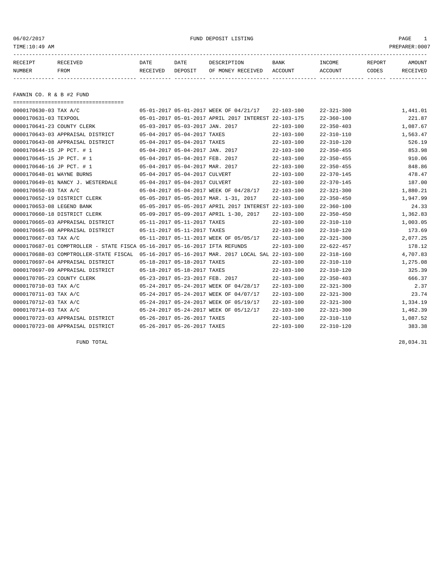06/02/2017 FUND DEPOSIT LISTING PAGE 1

| RECEIPT | <b>RECEIVED</b> | DATE     | DATE    | דידס דפר/פתח         | <b>BANK</b> | INCOME  | REPORT | AMOUNT          |
|---------|-----------------|----------|---------|----------------------|-------------|---------|--------|-----------------|
| NUMBER  | FROM            | RECEIVED | DEPOSIT | RECEIVED<br>OF MONEY | ACCOUNT     | ACCOUNT | CODES  | <b>RECEIVED</b> |
|         |                 |          |         |                      |             |         |        |                 |

FANNIN CO. R & B #2 FUND

| -------------------------------------                                      |                                 |                                                      |                  |                  |          |
|----------------------------------------------------------------------------|---------------------------------|------------------------------------------------------|------------------|------------------|----------|
| 0000170630-03 TAX A/C                                                      |                                 | 05-01-2017 05-01-2017 WEEK OF 04/21/17               | $22 - 103 - 100$ | $22 - 321 - 300$ | 1,441.01 |
| 0000170631-03 TEXPOOL                                                      |                                 | 05-01-2017 05-01-2017 APRIL 2017 INTEREST 22-103-175 |                  | $22 - 360 - 100$ | 221.87   |
| 0000170641-23 COUNTY CLERK                                                 | 05-03-2017 05-03-2017 JAN. 2017 |                                                      | $22 - 103 - 100$ | $22 - 350 - 403$ | 1,087.67 |
| 0000170643-03 APPRAISAL DISTRICT                                           | 05-04-2017 05-04-2017 TAXES     |                                                      | $22 - 103 - 100$ | $22 - 310 - 110$ | 1,563.47 |
| 0000170643-08 APPRAISAL DISTRICT                                           | 05-04-2017 05-04-2017 TAXES     |                                                      | $22 - 103 - 100$ | $22 - 310 - 120$ | 526.19   |
| 0000170644-15 JP PCT. # 1                                                  | 05-04-2017 05-04-2017 JAN. 2017 |                                                      | $22 - 103 - 100$ | $22 - 350 - 455$ | 853.98   |
| 0000170645-15 JP PCT. # 1                                                  | 05-04-2017 05-04-2017 FEB. 2017 |                                                      | $22 - 103 - 100$ | $22 - 350 - 455$ | 910.06   |
| 0000170646-16 JP PCT. # 1                                                  | 05-04-2017 05-04-2017 MAR. 2017 |                                                      | $22 - 103 - 100$ | $22 - 350 - 455$ | 848.86   |
| 0000170648-01 WAYNE BURNS                                                  | 05-04-2017 05-04-2017 CULVERT   |                                                      | $22 - 103 - 100$ | $22 - 370 - 145$ | 478.47   |
| 0000170649-01 NANCY J. WESTERDALE                                          | 05-04-2017 05-04-2017 CULVERT   |                                                      | $22 - 103 - 100$ | $22 - 370 - 145$ | 187.00   |
| 0000170650-03 TAX A/C                                                      |                                 | 05-04-2017 05-04-2017 WEEK OF 04/28/17               | $22 - 103 - 100$ | $22 - 321 - 300$ | 1,880.21 |
| 0000170652-19 DISTRICT CLERK                                               |                                 | 05-05-2017 05-05-2017 MAR. 1-31, 2017                | $22 - 103 - 100$ | $22 - 350 - 450$ | 1,947.99 |
| 0000170653-08 LEGEND BANK                                                  |                                 | 05-05-2017 05-05-2017 APRIL 2017 INTEREST 22-103-100 |                  | $22 - 360 - 100$ | 24.33    |
| 0000170660-18 DISTRICT CLERK                                               |                                 | 05-09-2017 05-09-2017 APRIL 1-30, 2017               | $22 - 103 - 100$ | $22 - 350 - 450$ | 1,362.83 |
| 0000170665-03 APPRAISAL DISTRICT                                           | 05-11-2017 05-11-2017 TAXES     |                                                      | $22 - 103 - 100$ | $22 - 310 - 110$ | 1,003.05 |
| 0000170665-08 APPRAISAL DISTRICT                                           | 05-11-2017 05-11-2017 TAXES     |                                                      | $22 - 103 - 100$ | $22 - 310 - 120$ | 173.69   |
| 0000170667-03 TAX A/C                                                      |                                 | 05-11-2017 05-11-2017 WEEK OF 05/05/17               | $22 - 103 - 100$ | $22 - 321 - 300$ | 2,077.25 |
| 0000170687-01 COMPTROLLER - STATE FISCA 05-16-2017 05-16-2017 IFTA REFUNDS |                                 |                                                      | $22 - 103 - 100$ | $22 - 622 - 457$ | 178.12   |
| 0000170688-03 COMPTROLLER-STATE FISCAL                                     |                                 | 05-16-2017 05-16-2017 MAR. 2017 LOCAL SAL 22-103-100 |                  | $22 - 318 - 160$ | 4,707.83 |
| 0000170697-04 APPRAISAL DISTRICT                                           | 05-18-2017 05-18-2017 TAXES     |                                                      | $22 - 103 - 100$ | $22 - 310 - 110$ | 1,275.08 |
| 0000170697-09 APPRAISAL DISTRICT                                           | 05-18-2017 05-18-2017 TAXES     |                                                      | $22 - 103 - 100$ | $22 - 310 - 120$ | 325.39   |
| 0000170705-23 COUNTY CLERK                                                 | 05-23-2017 05-23-2017 FEB. 2017 |                                                      | $22 - 103 - 100$ | $22 - 350 - 403$ | 666.37   |
| 0000170710-03 TAX A/C                                                      |                                 | 05-24-2017 05-24-2017 WEEK OF 04/28/17               | $22 - 103 - 100$ | $22 - 321 - 300$ | 2.37     |
| 0000170711-03 TAX A/C                                                      |                                 | 05-24-2017 05-24-2017 WEEK OF 04/07/17               | $22 - 103 - 100$ | $22 - 321 - 300$ | 23.74    |
| 0000170712-03 TAX A/C                                                      |                                 | 05-24-2017 05-24-2017 WEEK OF 05/19/17               | $22 - 103 - 100$ | $22 - 321 - 300$ | 1,334.19 |
| 0000170714-03 TAX A/C                                                      |                                 | 05-24-2017 05-24-2017 WEEK OF 05/12/17               | $22 - 103 - 100$ | $22 - 321 - 300$ | 1,462.39 |
| 0000170723-03 APPRAISAL DISTRICT                                           | 05-26-2017 05-26-2017 TAXES     |                                                      | $22 - 103 - 100$ | $22 - 310 - 110$ | 1,087.52 |
| 0000170723-08 APPRAISAL DISTRICT                                           | 05-26-2017 05-26-2017 TAXES     |                                                      | $22 - 103 - 100$ | $22 - 310 - 120$ | 383.38   |

FUND TOTAL 28,034.31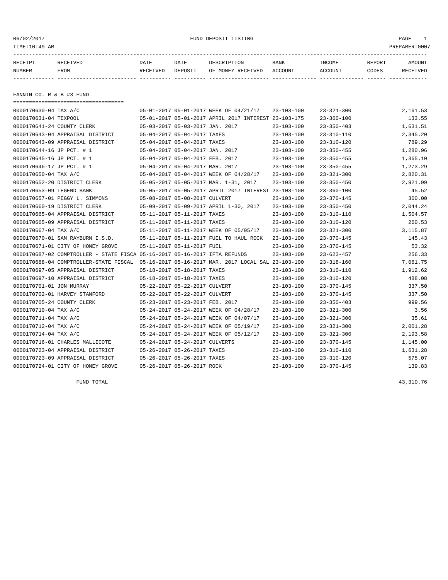#### 06/02/2017 FUND DEPOSIT LISTING PAGE 1

| RECEIPT | <b>RECEIVED</b> | DATE     | DATE    | דידס דפר/פתח         | <b>BANK</b> | INCOME  | REPORT | AMOUNT          |
|---------|-----------------|----------|---------|----------------------|-------------|---------|--------|-----------------|
| NUMBER  | FROM            | RECEIVED | DEPOSIT | RECEIVED<br>OF MONEY | ACCOUNT     | ACCOUNT | CODES  | <b>RECEIVED</b> |
|         |                 |          |         |                      |             |         |        |                 |

FANNIN CO. R & B #3 FUND

===================================

| 0000170630-04 TAX A/C      |                                                                            |                                 | 05-01-2017 05-01-2017 WEEK OF 04/21/17               | $23 - 103 - 100$ | $23 - 321 - 300$ | 2,161.53 |
|----------------------------|----------------------------------------------------------------------------|---------------------------------|------------------------------------------------------|------------------|------------------|----------|
| 0000170631-04 TEXPOOL      |                                                                            |                                 | 05-01-2017 05-01-2017 APRIL 2017 INTEREST 23-103-175 |                  | $23 - 360 - 100$ | 133.55   |
| 0000170641-24 COUNTY CLERK |                                                                            | 05-03-2017 05-03-2017 JAN. 2017 |                                                      | $23 - 103 - 100$ | $23 - 350 - 403$ | 1,631.51 |
|                            | 0000170643-04 APPRAISAL DISTRICT                                           | 05-04-2017 05-04-2017 TAXES     |                                                      | $23 - 103 - 100$ | $23 - 310 - 110$ | 2,345.20 |
|                            | 0000170643-09 APPRAISAL DISTRICT                                           | 05-04-2017 05-04-2017 TAXES     |                                                      | $23 - 103 - 100$ | $23 - 310 - 120$ | 789.29   |
| 0000170644-16 JP PCT. # 1  |                                                                            | 05-04-2017 05-04-2017 JAN. 2017 |                                                      | $23 - 103 - 100$ | $23 - 350 - 455$ | 1,280.96 |
| 0000170645-16 JP PCT. # 1  |                                                                            | 05-04-2017 05-04-2017 FEB. 2017 |                                                      | $23 - 103 - 100$ | $23 - 350 - 455$ | 1,365.10 |
| 0000170646-17 JP PCT. # 1  |                                                                            | 05-04-2017 05-04-2017 MAR. 2017 |                                                      | $23 - 103 - 100$ | $23 - 350 - 455$ | 1,273.29 |
| 0000170650-04 TAX A/C      |                                                                            |                                 | 05-04-2017 05-04-2017 WEEK OF 04/28/17               | $23 - 103 - 100$ | $23 - 321 - 300$ | 2,820.31 |
|                            | 0000170652-20 DISTRICT CLERK                                               |                                 | 05-05-2017 05-05-2017 MAR. 1-31, 2017                | $23 - 103 - 100$ | $23 - 350 - 450$ | 2,921.99 |
| 0000170653-09 LEGEND BANK  |                                                                            |                                 | 05-05-2017 05-05-2017 APRIL 2017 INTEREST 23-103-100 |                  | $23 - 360 - 100$ | 45.52    |
|                            | 0000170657-01 PEGGY L. SIMMONS                                             | 05-08-2017 05-08-2017 CULVERT   |                                                      | $23 - 103 - 100$ | $23 - 370 - 145$ | 300.00   |
|                            | 0000170660-19 DISTRICT CLERK                                               |                                 | 05-09-2017 05-09-2017 APRIL 1-30, 2017               | $23 - 103 - 100$ | $23 - 350 - 450$ | 2,044.24 |
|                            | 0000170665-04 APPRAISAL DISTRICT                                           | 05-11-2017 05-11-2017 TAXES     |                                                      | $23 - 103 - 100$ | $23 - 310 - 110$ | 1,504.57 |
|                            | 0000170665-09 APPRAISAL DISTRICT                                           | 05-11-2017 05-11-2017 TAXES     |                                                      | $23 - 103 - 100$ | $23 - 310 - 120$ | 260.53   |
| 0000170667-04 TAX A/C      |                                                                            |                                 | 05-11-2017 05-11-2017 WEEK OF 05/05/17               | $23 - 103 - 100$ | $23 - 321 - 300$ | 3,115.87 |
|                            | 0000170670-01 SAM RAYBURN I.S.D.                                           |                                 | 05-11-2017 05-11-2017 FUEL TO HAUL ROCK              | $23 - 103 - 100$ | $23 - 370 - 145$ | 145.43   |
|                            | 0000170671-01 CITY OF HONEY GROVE                                          | 05-11-2017 05-11-2017 FUEL      |                                                      | $23 - 103 - 100$ | $23 - 370 - 145$ | 53.32    |
|                            | 0000170687-02 COMPTROLLER - STATE FISCA 05-16-2017 05-16-2017 IFTA REFUNDS |                                 |                                                      | $23 - 103 - 100$ | $23 - 623 - 457$ | 256.33   |
|                            | 0000170688-04 COMPTROLLER-STATE FISCAL                                     |                                 | 05-16-2017 05-16-2017 MAR. 2017 LOCAL SAL 23-103-100 |                  | $23 - 318 - 160$ | 7,061.75 |
|                            | 0000170697-05 APPRAISAL DISTRICT                                           | 05-18-2017 05-18-2017 TAXES     |                                                      | $23 - 103 - 100$ | $23 - 310 - 110$ | 1,912.62 |
|                            | 0000170697-10 APPRAISAL DISTRICT                                           | 05-18-2017 05-18-2017 TAXES     |                                                      | $23 - 103 - 100$ | $23 - 310 - 120$ | 488.08   |
| 0000170701-01 JON MURRAY   |                                                                            | 05-22-2017 05-22-2017 CULVERT   |                                                      | $23 - 103 - 100$ | $23 - 370 - 145$ | 337.50   |
|                            | 0000170702-01 HARVEY STANFORD                                              | 05-22-2017 05-22-2017 CULVERT   |                                                      | $23 - 103 - 100$ | $23 - 370 - 145$ | 337.50   |
| 0000170705-24 COUNTY CLERK |                                                                            | 05-23-2017 05-23-2017 FEB. 2017 |                                                      | $23 - 103 - 100$ | $23 - 350 - 403$ | 999.56   |
| 0000170710-04 TAX A/C      |                                                                            |                                 | 05-24-2017 05-24-2017 WEEK OF 04/28/17               | $23 - 103 - 100$ | $23 - 321 - 300$ | 3.56     |
| 0000170711-04 TAX A/C      |                                                                            |                                 | 05-24-2017 05-24-2017 WEEK OF 04/07/17               | $23 - 103 - 100$ | $23 - 321 - 300$ | 35.61    |
| 0000170712-04 TAX A/C      |                                                                            |                                 | 05-24-2017 05-24-2017 WEEK OF 05/19/17               | $23 - 103 - 100$ | $23 - 321 - 300$ | 2,001.28 |
| 0000170714-04 TAX A/C      |                                                                            |                                 | 05-24-2017 05-24-2017 WEEK OF 05/12/17               | $23 - 103 - 100$ | $23 - 321 - 300$ | 2,193.58 |
|                            | 0000170716-01 CHARLES MALLICOTE                                            | 05-24-2017 05-24-2017 CULVERTS  |                                                      | $23 - 103 - 100$ | $23 - 370 - 145$ | 1,145.00 |
|                            | 0000170723-04 APPRAISAL DISTRICT                                           | 05-26-2017 05-26-2017 TAXES     |                                                      | $23 - 103 - 100$ | $23 - 310 - 110$ | 1,631.28 |
|                            | 0000170723-09 APPRAISAL DISTRICT                                           | 05-26-2017 05-26-2017 TAXES     |                                                      | $23 - 103 - 100$ | $23 - 310 - 120$ | 575.07   |
|                            | 0000170724-01 CITY OF HONEY GROVE                                          | 05-26-2017 05-26-2017 ROCK      |                                                      | $23 - 103 - 100$ | $23 - 370 - 145$ | 139.83   |

FUND TOTAL  $43,310.76$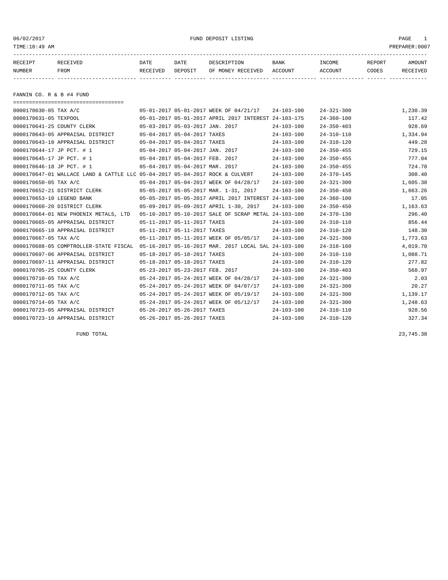06/02/2017 FUND DEPOSIT LISTING PAGE 1

| RECEIPT | <b>RECEIVED</b> | DATE     | DATE    | DESCRIPTION       | <b>BANK</b> | INCOME  | <b>REPORT</b> | AMOUNT          |
|---------|-----------------|----------|---------|-------------------|-------------|---------|---------------|-----------------|
| NUMBER  | FROM            | RECEIVED | DEPOSIT | OF MONEY RECEIVED | ACCOUNT     | ACCOUNT | CODES         | <b>RECEIVED</b> |
|         |                 |          |         |                   |             |         |               |                 |

FANNIN CO. R & B #4 FUND

| =====================================                                        |                                 |                             |                                                      |                  |                  |          |
|------------------------------------------------------------------------------|---------------------------------|-----------------------------|------------------------------------------------------|------------------|------------------|----------|
| 0000170630-05 TAX A/C                                                        |                                 |                             | 05-01-2017 05-01-2017 WEEK OF 04/21/17               | $24 - 103 - 100$ | $24 - 321 - 300$ | 1,230.39 |
| 0000170631-05 TEXPOOL                                                        |                                 |                             | 05-01-2017 05-01-2017 APRIL 2017 INTEREST 24-103-175 |                  | $24 - 360 - 100$ | 117.42   |
| 0000170641-25 COUNTY CLERK                                                   | 05-03-2017 05-03-2017 JAN. 2017 |                             |                                                      | $24 - 103 - 100$ | $24 - 350 - 403$ | 928.69   |
| 0000170643-05 APPRAISAL DISTRICT                                             | 05-04-2017 05-04-2017 TAXES     |                             |                                                      | $24 - 103 - 100$ | $24 - 310 - 110$ | 1,334.94 |
| 0000170643-10 APPRAISAL DISTRICT                                             | 05-04-2017 05-04-2017 TAXES     |                             |                                                      | $24 - 103 - 100$ | $24 - 310 - 120$ | 449.28   |
| 0000170644-17 JP PCT. # 1                                                    | 05-04-2017 05-04-2017 JAN. 2017 |                             |                                                      | $24 - 103 - 100$ | $24 - 350 - 455$ | 729.15   |
| 0000170645-17 JP PCT. # 1                                                    | 05-04-2017 05-04-2017 FEB. 2017 |                             |                                                      | $24 - 103 - 100$ | $24 - 350 - 455$ | 777.04   |
| 0000170646-18 JP PCT. # 1                                                    | 05-04-2017 05-04-2017 MAR. 2017 |                             |                                                      | $24 - 103 - 100$ | $24 - 350 - 455$ | 724.78   |
| 0000170647-01 WALLACE LAND & CATTLE LLC 05-04-2017 05-04-2017 ROCK & CULVERT |                                 |                             |                                                      | $24 - 103 - 100$ | $24 - 370 - 145$ | 308.40   |
| 0000170650-05 TAX A/C                                                        |                                 |                             | 05-04-2017 05-04-2017 WEEK OF 04/28/17               | $24 - 103 - 100$ | $24 - 321 - 300$ | 1,605.38 |
| 0000170652-21 DISTRICT CLERK                                                 |                                 |                             | 05-05-2017 05-05-2017 MAR. 1-31, 2017                | $24 - 103 - 100$ | $24 - 350 - 450$ | 1,663.26 |
| 0000170653-10 LEGEND BANK                                                    |                                 |                             | 05-05-2017 05-05-2017 APRIL 2017 INTEREST 24-103-100 |                  | $24 - 360 - 100$ | 17.05    |
| 0000170660-20 DISTRICT CLERK                                                 |                                 |                             | 05-09-2017 05-09-2017 APRIL 1-30, 2017               | $24 - 103 - 100$ | $24 - 350 - 450$ | 1,163.63 |
| 0000170664-01 NEW PHOENIX METALS, LTD                                        |                                 |                             | 05-10-2017 05-10-2017 SALE OF SCRAP METAL 24-103-100 |                  | $24 - 370 - 130$ | 296.40   |
| 0000170665-05 APPRAISAL DISTRICT                                             |                                 | 05-11-2017 05-11-2017 TAXES |                                                      | $24 - 103 - 100$ | $24 - 310 - 110$ | 856.44   |
| 0000170665-10 APPRAISAL DISTRICT                                             |                                 | 05-11-2017 05-11-2017 TAXES |                                                      | $24 - 103 - 100$ | $24 - 310 - 120$ | 148.30   |
| 0000170667-05 TAX A/C                                                        |                                 |                             | 05-11-2017 05-11-2017 WEEK OF 05/05/17               | $24 - 103 - 100$ | $24 - 321 - 300$ | 1,773.63 |
| 0000170688-05 COMPTROLLER-STATE FISCAL                                       |                                 |                             | 05-16-2017 05-16-2017 MAR. 2017 LOCAL SAL 24-103-100 |                  | $24 - 318 - 160$ | 4,019.70 |
| 0000170697-06 APPRAISAL DISTRICT                                             |                                 | 05-18-2017 05-18-2017 TAXES |                                                      | $24 - 103 - 100$ | $24 - 310 - 110$ | 1,088.71 |
| 0000170697-11 APPRAISAL DISTRICT                                             |                                 | 05-18-2017 05-18-2017 TAXES |                                                      | $24 - 103 - 100$ | $24 - 310 - 120$ | 277.82   |
| 0000170705-25 COUNTY CLERK                                                   | 05-23-2017 05-23-2017 FEB. 2017 |                             |                                                      | $24 - 103 - 100$ | $24 - 350 - 403$ | 568.97   |
| 0000170710-05 TAX A/C                                                        |                                 |                             | 05-24-2017 05-24-2017 WEEK OF 04/28/17               | $24 - 103 - 100$ | $24 - 321 - 300$ | 2.03     |
| 0000170711-05 TAX A/C                                                        |                                 |                             | 05-24-2017 05-24-2017 WEEK OF 04/07/17               | $24 - 103 - 100$ | $24 - 321 - 300$ | 20.27    |
| 0000170712-05 TAX A/C                                                        |                                 |                             | 05-24-2017 05-24-2017 WEEK OF 05/19/17               | $24 - 103 - 100$ | $24 - 321 - 300$ | 1,139.17 |
| 0000170714-05 TAX A/C                                                        |                                 |                             | 05-24-2017 05-24-2017 WEEK OF 05/12/17               | $24 - 103 - 100$ | $24 - 321 - 300$ | 1,248.63 |
| 0000170723-05 APPRAISAL DISTRICT                                             | 05-26-2017 05-26-2017 TAXES     |                             |                                                      | $24 - 103 - 100$ | $24 - 310 - 110$ | 928.56   |
| 0000170723-10 APPRAISAL DISTRICT                                             |                                 | 05-26-2017 05-26-2017 TAXES |                                                      | $24 - 103 - 100$ | $24 - 310 - 120$ | 327.34   |

FUND TOTAL 23,745.38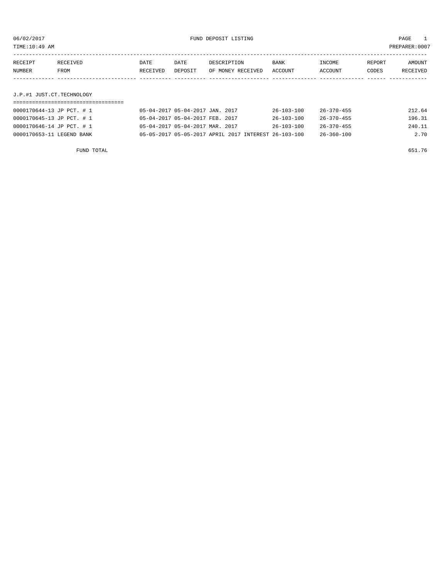TIME:10:49 AM PREPARER:0007

| RECEIPT | RECEIVED    | DATE     | DATE    | DESCRIPTION       | <b>BANK</b> | INCOME  | REPORT | AMOUNT   |
|---------|-------------|----------|---------|-------------------|-------------|---------|--------|----------|
| NUMBER  | <b>FROM</b> | RECEIVED | DEPOSIT | OF MONEY RECEIVED | ACCOUNT     | ACCOUNT | CODES  | RECEIVED |
|         |             |          |         |                   |             |         |        |          |

J.P.#1 JUST.CT.TECHNOLOGY

| 0000170644-13 JP PCT. # 1 | 05-04-2017 05-04-2017 JAN. 2017 |                                                      | 26-103-100       | 26-370-455       | 212.64 |
|---------------------------|---------------------------------|------------------------------------------------------|------------------|------------------|--------|
| 0000170645-13 JP PCT. # 1 | 05-04-2017 05-04-2017 FEB. 2017 |                                                      | $26 - 103 - 100$ | $26 - 370 - 455$ | 196.31 |
| 0000170646-14 JP PCT. # 1 | 05-04-2017 05-04-2017 MAR. 2017 |                                                      | $26 - 103 - 100$ | $26 - 370 - 455$ | 240.11 |
| 0000170653-11 LEGEND BANK |                                 | 05-05-2017 05-05-2017 APRIL 2017 INTEREST 26-103-100 |                  | $26 - 360 - 100$ | 2.70   |

FUND TOTAL 651.76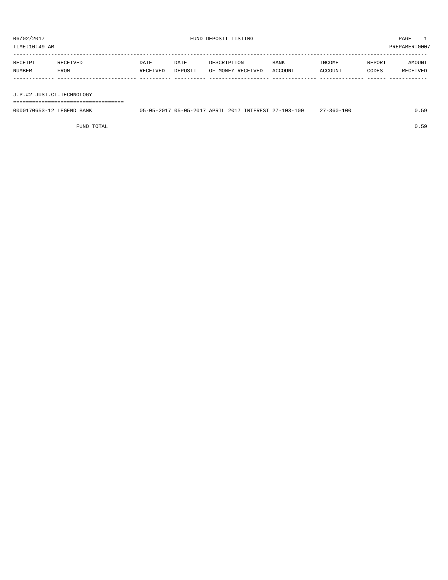TIME:10:49 AM PREPARER:0007

| RECEIPT | RECEIVED | DATE     | DATE    | DESCRIPTION       | BANK    | INCOME  | REPORT | AMOUNT   |
|---------|----------|----------|---------|-------------------|---------|---------|--------|----------|
| NUMBER  | FROM     | RECEIVED | DEPOSIT | OF MONEY RECEIVED | ACCOUNT | ACCOUNT | CODES  | RECEIVED |
|         |          |          |         |                   |         |         |        |          |
|         |          |          |         |                   |         |         |        |          |

J.P.#2 JUST.CT.TECHNOLOGY

===================================

| 0000170653-12 LEGEND BANK |  |  | 05-05-2017 05-05-2017 APRIL 2017 INTEREST 27-103-100 | /-360-100<br>$\sim$ |  |
|---------------------------|--|--|------------------------------------------------------|---------------------|--|
|                           |  |  |                                                      |                     |  |

FUND TOTAL 0.59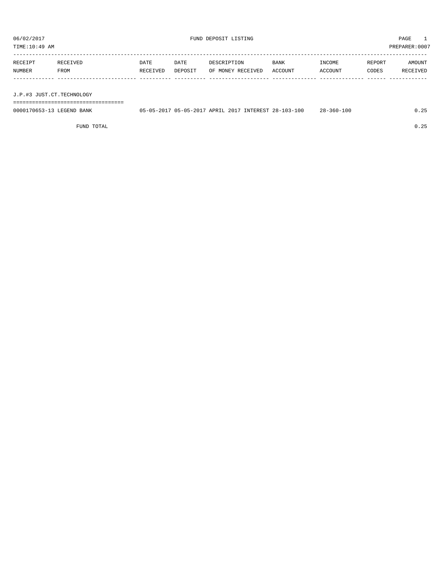TIME:10:49 AM PREPARER:0007

| RECEIPT | RECEIVED | <b>DATE</b> | DATE    | DESCRIPTION       | <b>BANK</b> | INCOME  | REPORT | AMOUNT   |
|---------|----------|-------------|---------|-------------------|-------------|---------|--------|----------|
| NUMBER  | FROM     | RECEIVED    | DEPOSIT | OF MONEY RECEIVED | ACCOUNT     | ACCOUNT | CODES  | RECEIVED |
|         |          |             |         |                   |             |         |        |          |

J.P.#3 JUST.CT.TECHNOLOGY

===================================

| 0000170653-13 LEGEND BANK | 05-05-2017 05-05-2017 APRIL 2017 INTEREST 28-103-100 |  |  | $28 - 360 - 100$ |  |
|---------------------------|------------------------------------------------------|--|--|------------------|--|
|                           |                                                      |  |  |                  |  |

FUND TOTAL 0.25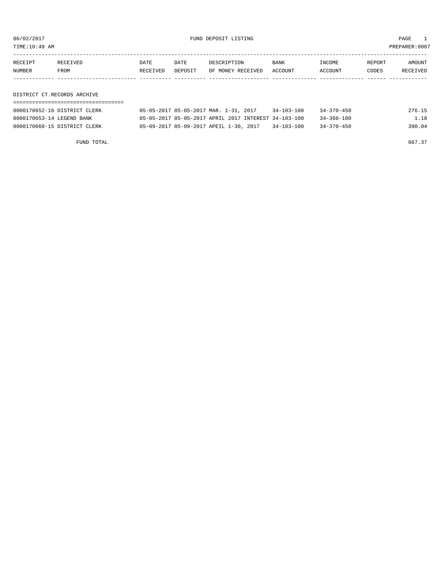06/02/2017 FUND DEPOSIT LISTING PAGE 1

| RECEIPT | RECEIVED | DATE     | DATE    | DESCRIPTION               | BANK | INCOME         | REPORT | AMOUNT   |
|---------|----------|----------|---------|---------------------------|------|----------------|--------|----------|
| NUMBER  | FROM     | RECEIVED | DEPOSIT | OF MONEY RECEIVED ACCOUNT |      | <b>ACCOUNT</b> | CODES  | RECEIVED |
|         |          |          |         |                           |      |                |        |          |

DISTRICT CT.RECORDS ARCHIVE ===================================

| 0000170652-16 DISTRICT CLERK | 05-05-2017 05-05-2017 MAR. 1-31, 2017                |  | $34 - 103 - 100$ | $34 - 370 - 450$ | 276.15 |
|------------------------------|------------------------------------------------------|--|------------------|------------------|--------|
| 0000170653-14 LEGEND BANK    | 05-05-2017 05-05-2017 APRIL 2017 INTEREST 34-103-100 |  |                  | $34 - 360 - 100$ | 1.18   |
| 0000170660-15 DISTRICT CLERK | 05-09-2017 05-09-2017 APEIL 1-30, 2017               |  | 34-103-100       | $34 - 370 - 450$ | 390.04 |

FUND TOTAL 667.37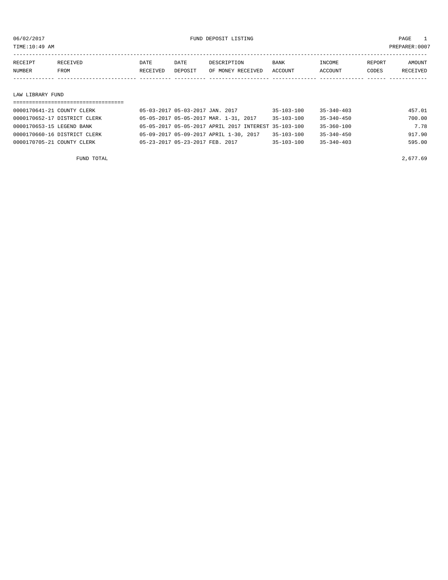TIME:10:49 AM PREPARER:0007

| RECEIPT | RECEIVED    | DATE     | DATE    | DESCRIPTION       | <b>BANK</b> | INCOME  | REPORT | AMOUNT          |
|---------|-------------|----------|---------|-------------------|-------------|---------|--------|-----------------|
| NUMBER  | <b>FROM</b> | RECEIVED | DEPOSIT | OF MONEY RECEIVED | ACCOUNT     | ACCOUNT | CODES  | <b>RECEIVED</b> |
|         |             |          |         |                   |             |         |        |                 |
|         |             |          |         |                   |             |         |        |                 |

#### LAW LIBRARY FUND

| 0000170641-21 COUNTY CLERK   | 05-03-2017 05-03-2017 JAN. 2017                      | $35 - 103 - 100$ | $35 - 340 - 403$ | 457.01 |
|------------------------------|------------------------------------------------------|------------------|------------------|--------|
| 0000170652-17 DISTRICT CLERK | 05-05-2017 05-05-2017 MAR. 1-31, 2017                | $35 - 103 - 100$ | $35 - 340 - 450$ | 700.00 |
| 0000170653-15 LEGEND BANK    | 05-05-2017 05-05-2017 APRIL 2017 INTEREST 35-103-100 |                  | $35 - 360 - 100$ | 7.78   |
| 0000170660-16 DISTRICT CLERK | 05-09-2017 05-09-2017 APRIL 1-30, 2017               | $35 - 103 - 100$ | $35 - 340 - 450$ | 917.90 |
| 0000170705-21 COUNTY CLERK   | 05-23-2017 05-23-2017 FEB. 2017                      | $35 - 103 - 100$ | $35 - 340 - 403$ | 595.00 |
|                              |                                                      |                  |                  |        |

FUND TOTAL  $2,677.69$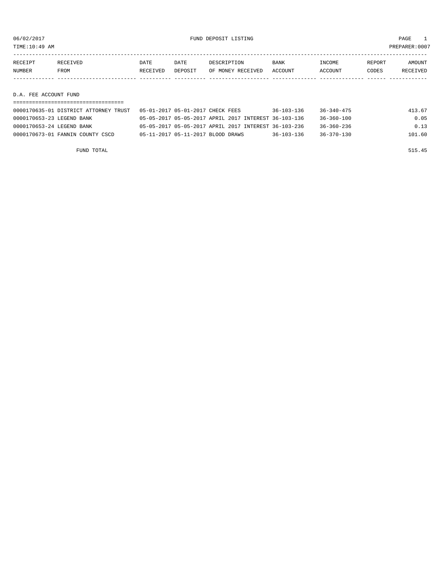TIME:10:49 AM PREPARER:0007

| RECEIPT | RECEIVED    | DATE     | DATE    | DESCRIPTION       | <b>BANK</b> | INCOME  | REPORT | AMOUNT   |
|---------|-------------|----------|---------|-------------------|-------------|---------|--------|----------|
| NUMBER  | <b>FROM</b> | RECEIVED | DEPOSIT | OF MONEY RECEIVED | ACCOUNT     | ACCOUNT | CODES  | RECEIVED |
|         |             |          |         |                   |             |         |        |          |

#### D.A. FEE ACCOUNT FUND

| 0000170635-01 DISTRICT ATTORNEY TRUST | 05-01-2017 05-01-2017 CHECK FEES                     | $36 - 103 - 136$ | $36 - 340 - 475$ | 413.67 |
|---------------------------------------|------------------------------------------------------|------------------|------------------|--------|
| 0000170653-23 LEGEND BANK             | 05-05-2017 05-05-2017 APRIL 2017 INTEREST 36-103-136 |                  | 36-360-100       | 0.05   |
| 0000170653-24 LEGEND BANK             | 05-05-2017 05-05-2017 APRIL 2017 INTEREST 36-103-236 |                  | 36-360-236       | 0.13   |
| 0000170673-01 FANNIN COUNTY CSCD      | 05-11-2017 05-11-2017 BLOOD DRAWS                    | $36 - 103 - 136$ | $36 - 370 - 130$ | 101.60 |

FUND TOTAL 515.45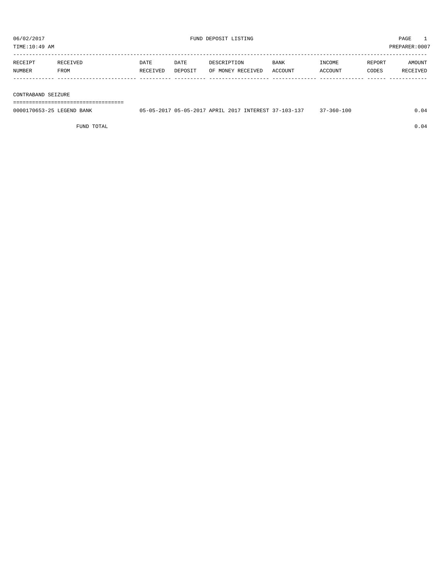TIME:10:49 AM PREPARER:0007

| RECEIPT | <b>RECEIVED</b> | DATE     | DATE    | DESCRIPTION       | <b>BANK</b> | <b>TNCOME</b> | <b>REPORT</b> | AMOUNT   |
|---------|-----------------|----------|---------|-------------------|-------------|---------------|---------------|----------|
| NUMBER  | FROM            | RECEIVED | DEPOSIT | OF MONEY RECEIVED | ACCOUNT     | ACCOUNT       | CODES         | RECEIVED |
|         |                 |          |         |                   |             |               |               |          |

#### CONTRABAND SEIZURE

===================================

| 0000170653-25<br>LEGEND.<br>BANK | $-05 - 20$ | -2017 05-05-2017 APRIL 2017 |  | INTEREST 37 | $(1.37 - 103 - 127)$ | $360 - 100$ |  |
|----------------------------------|------------|-----------------------------|--|-------------|----------------------|-------------|--|
|                                  |            |                             |  |             |                      |             |  |

FUND TOTAL  $0.04$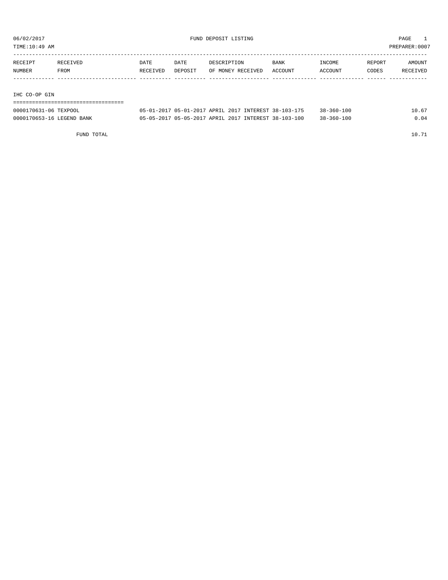TIME:10:49 AM PREPARER:0007

| RECEIPT | RECEIVED | DATE     | DATE    | DESCRIPTION       | <b>BANK</b> | INCOME  | REPORT | AMOUNT   |
|---------|----------|----------|---------|-------------------|-------------|---------|--------|----------|
| NUMBER  | FROM     | RECEIVED | DEPOSIT | OF MONEY RECEIVED | ACCOUNT     | ACCOUNT | CODES  | RECEIVED |
|         |          |          |         |                   |             |         |        |          |

IHC CO-OP GIN

===================================

| 0000170631-06 TEXPOOL     | 05-01-2017 05-01-2017 APRIL 2017 INTEREST 38-103-175 |  | $38 - 360 - 100$ | 10.67 |
|---------------------------|------------------------------------------------------|--|------------------|-------|
| 0000170653-16 LEGEND BANK | 05-05-2017 05-05-2017 APRIL 2017 INTEREST 38-103-100 |  | $38 - 360 - 100$ | 0.04  |

FUND TOTAL 10.71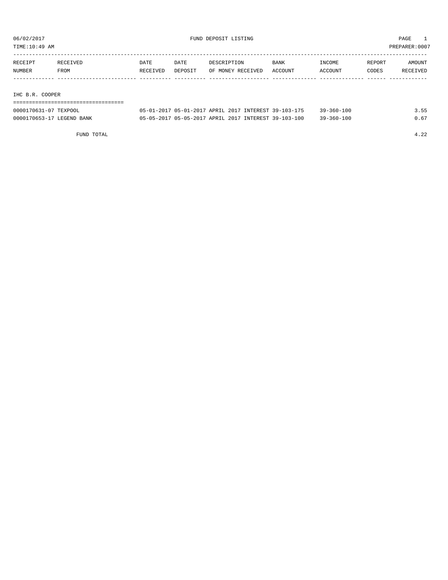TIME:10:49 AM PREPARER:0007

| RECEIPT | <b>RECEIVED</b> | DATE     | DATE    | DESCRIPTION       | <b>BANK</b> | INCOME  | REPORT | AMOUNT          |
|---------|-----------------|----------|---------|-------------------|-------------|---------|--------|-----------------|
| NUMBER  | FROM            | RECEIVED | DEPOSIT | OF MONEY RECEIVED | ACCOUNT     | ACCOUNT | CODES  | <b>RECEIVED</b> |
|         |                 |          |         |                   |             |         |        |                 |

IHC B.R. COOPER

===================================

| 0000170631-07 TEXPOOL     | 05-01-2017 05-01-2017 APRIL 2017 INTEREST 39-103-175 |  | $39 - 360 - 100$ |  |
|---------------------------|------------------------------------------------------|--|------------------|--|
| 0000170653-17 LEGEND BANK | 05-05-2017 05-05-2017 APRIL 2017 INTEREST 39-103-100 |  | $39 - 360 - 100$ |  |

FUND TOTAL 4.22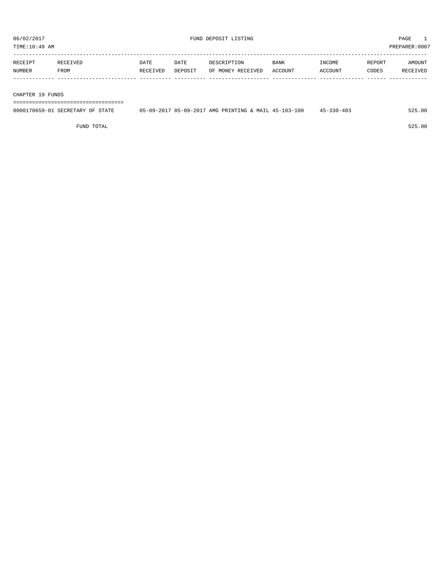| RECEIPT       | ™ TVED<br>R F.C | DATE     | DATE    | DESCRIPTION       | <b>BANK</b>    | <b>INCOME</b> | <b>REPORT</b> | AMOUNT          |
|---------------|-----------------|----------|---------|-------------------|----------------|---------------|---------------|-----------------|
| <b>NUMBER</b> | FROM            | RECEIVED | DEPOSIT | OF MONEY RECEIVED | <b>ACCOUNT</b> | ACCOUNT       | CODES         | <b>RECEIVED</b> |
|               |                 |          |         |                   |                |               |               |                 |

CHAPTER 19 FUNDS

===================================

| 0000170659-01 SECRETARY OF<br><b>STATE</b> | 05-09-2017 05-09-2017 AMG PRINTING & MAIL 45-103-100 |  | $45 - 330 - 403$ | 525.00 |
|--------------------------------------------|------------------------------------------------------|--|------------------|--------|
|                                            |                                                      |  |                  |        |

FUND TOTAL 525.00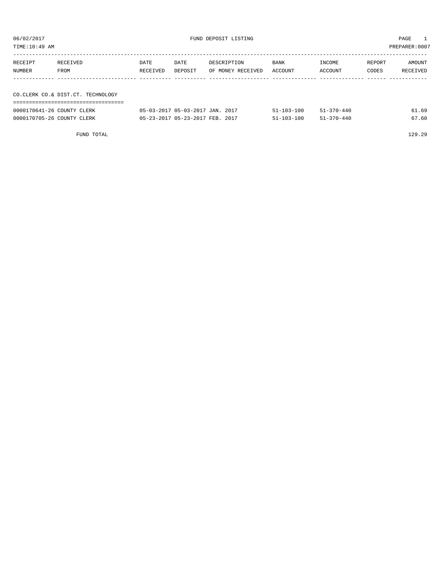| TIME:10:49 AM |                                   |          |         |                   |         |         |        | PREPARER:0007 |
|---------------|-----------------------------------|----------|---------|-------------------|---------|---------|--------|---------------|
| RECEIPT       | RECEIVED                          | DATE     | DATE    | DESCRIPTION       | BANK    | INCOME  | REPORT | AMOUNT        |
| NUMBER        | FROM                              | RECEIVED | DEPOSIT | OF MONEY RECEIVED | ACCOUNT | ACCOUNT | CODES  | RECEIVED      |
|               |                                   |          |         |                   |         |         |        |               |
|               | CO.CLERK CO.& DIST.CT. TECHNOLOGY |          |         |                   |         |         |        |               |
|               |                                   |          |         |                   |         |         |        |               |
|               |                                   |          |         |                   |         |         |        |               |

| 0000170641-26 COUNTY CLERK | 05-03-2017 05-03-2017 JAN. 2017 | $51 - 103 - 100$ | $51 - 370 - 440$ | 61.69 |
|----------------------------|---------------------------------|------------------|------------------|-------|
| 0000170705-26 COUNTY CLERK | 05-23-2017 05-23-2017 FEB. 2017 | $51 - 103 - 100$ | $51 - 370 - 440$ | 67.60 |

FUND TOTAL 129.29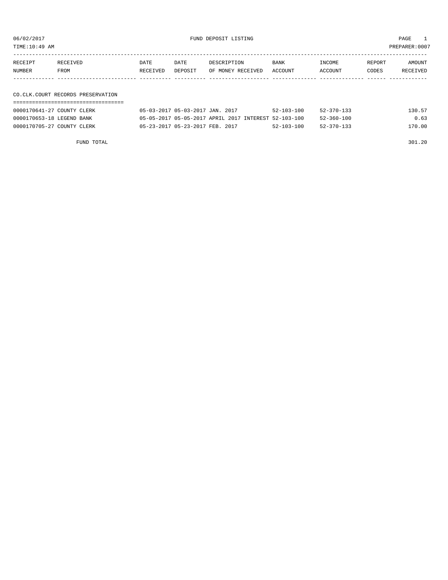06/02/2017 FUND DEPOSIT LISTING PAGE 1

| RECEIPT | RECEIVED | DATE     | DATE    | DESCRIPTION               | BANK | INCOME  | REPORT | AMOUNT   |
|---------|----------|----------|---------|---------------------------|------|---------|--------|----------|
| NUMBER  | FROM     | RECEIVED | DEPOSIT | OF MONEY RECEIVED ACCOUNT |      | ACCOUNT | CODES  | RECEIVED |
|         |          |          |         |                           |      |         |        |          |

#### CO.CLK.COURT RECORDS PRESERVATION ===================================

| 0000170641-27 COUNTY CLERK | 05-03-2017 05-03-2017 JAN. 2017<br>$52 - 103 - 100$<br>$52 - 370 - 133$  | 130.57 |
|----------------------------|--------------------------------------------------------------------------|--------|
| 0000170653-18 LEGEND BANK  | 05-05-2017 05-05-2017 APRIL 2017 INTEREST 52-103-100<br>$52 - 360 - 100$ | 0.63   |
| 0000170705-27 COUNTY CLERK | 05-23-2017 05-23-2017 FEB. 2017<br>$52 - 103 - 100$<br>52-370-133        | 170.00 |
|                            |                                                                          |        |

FUND TOTAL 301.20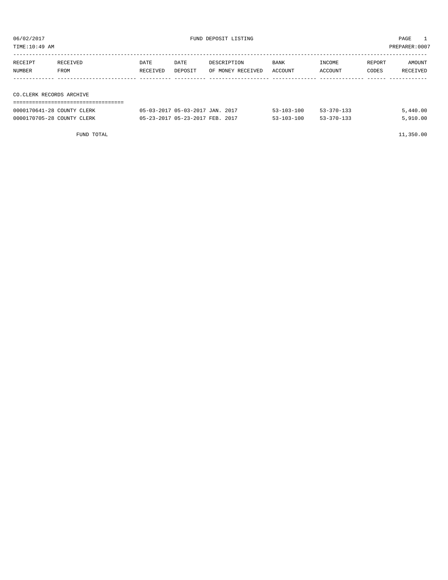| TIME:10:49 AM            |                            |          |                                 |                   |                  |                  |        | PREPARER:0007 |
|--------------------------|----------------------------|----------|---------------------------------|-------------------|------------------|------------------|--------|---------------|
|                          |                            |          |                                 |                   |                  |                  |        |               |
| RECEIPT                  | RECEIVED                   | DATE     | DATE                            | DESCRIPTION       | BANK             | INCOME           | REPORT | AMOUNT        |
| NUMBER                   | FROM                       | RECEIVED | DEPOSIT                         | OF MONEY RECEIVED | ACCOUNT          | ACCOUNT          | CODES  | RECEIVED      |
|                          |                            |          |                                 |                   |                  |                  |        |               |
|                          |                            |          |                                 |                   |                  |                  |        |               |
| CO.CLERK RECORDS ARCHIVE |                            |          |                                 |                   |                  |                  |        |               |
|                          |                            |          |                                 |                   |                  |                  |        |               |
|                          | 0000170641-28 COUNTY CLERK |          | 05-03-2017 05-03-2017 JAN. 2017 |                   | $53 - 103 - 100$ | $53 - 370 - 133$ |        | 5,440.00      |

0000170705-28 COUNTY CLERK 05-23-2017 05-23-2017 FEB. 2017 53-103-100 53-370-133 5,910.00

FUND TOTAL 11,350.00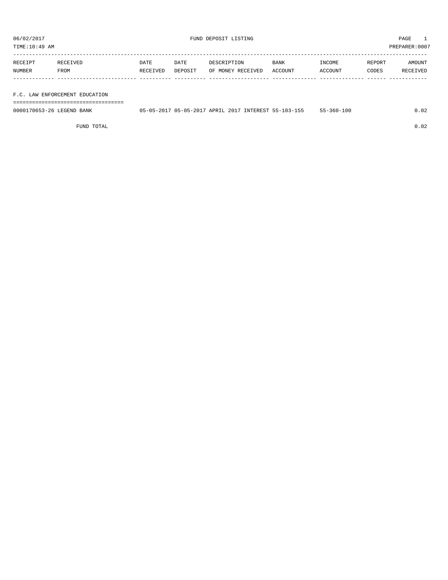TIME:10:49 AM PREPARER:0007

| RECEIPT | RECEIVED    | DATE     | DATE    | DESCRIPTION       | <b>BANK</b> | INCOME  | REPORT | AMOUNT   |
|---------|-------------|----------|---------|-------------------|-------------|---------|--------|----------|
| NUMBER  | <b>FROM</b> | RECEIVED | DEPOSIT | OF MONEY RECEIVED | ACCOUNT     | ACCOUNT | CODES  | RECEIVED |
|         |             |          |         |                   |             |         |        |          |

#### F.C. LAW ENFORCEMENT EDUCATION

===================================

| 0000170653-26 LEGEND BANK |  |  | 05-05-2017 05-05-2017 APRIL 2017 INTEREST 55-103-155 | $55 - 360 - 100$ | .02 |
|---------------------------|--|--|------------------------------------------------------|------------------|-----|
|                           |  |  |                                                      |                  |     |

FUND TOTAL 0.02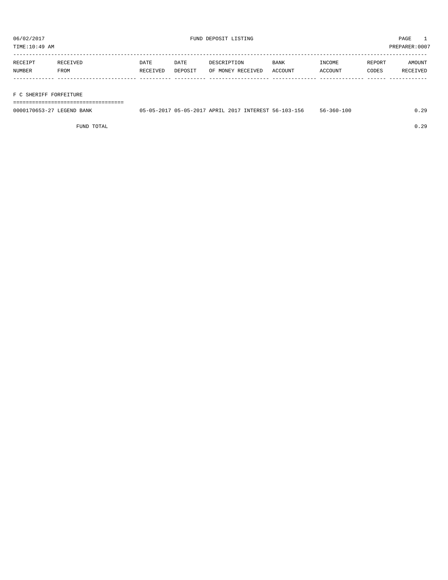| RECEIPT | <b>RECEIVED</b> | DATE     | DATE    | DESCRIPTION       | <b>BANK</b> | INCOME  | REPORT | AMOUNT          |
|---------|-----------------|----------|---------|-------------------|-------------|---------|--------|-----------------|
| NUMBER  | FROM            | RECEIVED | DEPOSIT | OF MONEY RECEIVED | ACCOUNT     | ACCOUNT | CODES  | <b>RECEIVED</b> |
|         |                 |          |         |                   |             |         |        |                 |

#### F C SHERIFF FORFEITURE

===================================

| 0000170653-27 LEGEND BANK |  | 05-05-2017 05-05-2017 APRIL 2017 INTEREST 56-103-156 | $56 - 360 - 100$ | ററ<br>.<br>. |
|---------------------------|--|------------------------------------------------------|------------------|--------------|
|                           |  |                                                      |                  |              |

FUND TOTAL 0.29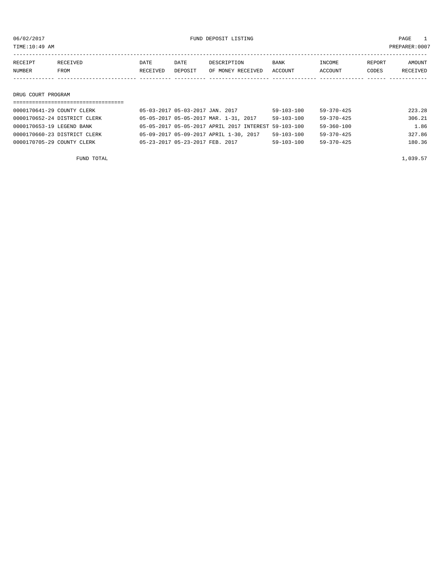06/02/2017 FUND DEPOSIT LISTING PAGE 1

| RECEIPT            | RECEIVED | DATE     | DATE    | DESCRIPTION       | BANK    | INCOME  | REPORT | AMOUNT   |
|--------------------|----------|----------|---------|-------------------|---------|---------|--------|----------|
| NUMBER             | FROM     | RECEIVED | DEPOSIT | OF MONEY RECEIVED | ACCOUNT | ACCOUNT | CODES  | RECEIVED |
|                    |          |          |         |                   |         |         |        |          |
|                    |          |          |         |                   |         |         |        |          |
| DRUG COURT PROGRAM |          |          |         |                   |         |         |        |          |

### ===================================

| 0000170641-29 COUNTY CLERK   | 05-03-2017 05-03-2017 JAN. 2017 |                                                      | 59-103-100       | 59-370-425       | 223.28 |
|------------------------------|---------------------------------|------------------------------------------------------|------------------|------------------|--------|
| 0000170652-24 DISTRICT CLERK |                                 | 05-05-2017 05-05-2017 MAR. 1-31, 2017                | 59-103-100       | 59-370-425       | 306.21 |
| 0000170653-19 LEGEND BANK    |                                 | 05-05-2017 05-05-2017 APRIL 2017 INTEREST 59-103-100 |                  | 59-360-100       | 1.86   |
| 0000170660-23 DISTRICT CLERK |                                 | 05-09-2017 05-09-2017 APRIL 1-30, 2017               | $59 - 103 - 100$ | $59 - 370 - 425$ | 327.86 |
| 0000170705-29 COUNTY CLERK   | 05-23-2017 05-23-2017 FEB. 2017 |                                                      | $59 - 103 - 100$ | $59 - 370 - 425$ | 180.36 |
|                              |                                 |                                                      |                  |                  |        |

FUND TOTAL  $1,039.57$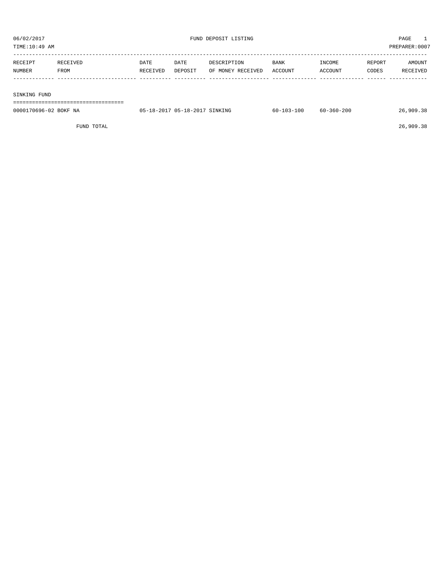TIME:10:49 AM PREPARER:0007

| RECEIPT | RECEIVED | DATE     | DATE    | DESCRIPTION       | BANK    | INCOME  | REPORT | AMOUNT   |
|---------|----------|----------|---------|-------------------|---------|---------|--------|----------|
| NUMBER  | FROM     | RECEIVED | DEPOSIT | OF MONEY RECEIVED | ACCOUNT | ACCOUNT | CODES  | RECEIVED |
|         |          |          |         |                   |         |         |        |          |
|         |          |          |         |                   |         |         |        |          |

SINKING FUND

===================================

| $\sim$<br>$\sim$ $\sim$ $\sim$<br>SINKING<br>$05-$<br>$\sqrt{10}$<br>18.<br>sh.<br>115. |                          |               |                         |                     |     |
|-----------------------------------------------------------------------------------------|--------------------------|---------------|-------------------------|---------------------|-----|
|                                                                                         | 0000170696-02<br>BOKF NA | 201<br>.<br>. | 13-100<br>$60 - 7$<br>. | $-360 - 200$<br>60- | 909 |

FUND TOTAL 26,909.38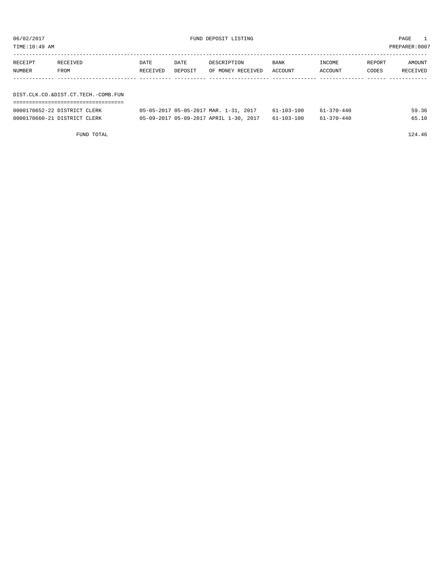| TIME:10:49 AM                       |                               |                  |                                                                                                                                                                                                                                                                                                                                                                                                              |                                  |                 |                                           |                 | PREPARER: 0007           |
|-------------------------------------|-------------------------------|------------------|--------------------------------------------------------------------------------------------------------------------------------------------------------------------------------------------------------------------------------------------------------------------------------------------------------------------------------------------------------------------------------------------------------------|----------------------------------|-----------------|-------------------------------------------|-----------------|--------------------------|
| RECEIPT<br>NUMBER                   | RECEIVED<br>FROM              | DATE<br>RECEIVED | DATE<br>DEPOSIT                                                                                                                                                                                                                                                                                                                                                                                              | DESCRIPTION<br>OF MONEY RECEIVED | BANK<br>ACCOUNT | INCOME<br>ACCOUNT                         | REPORT<br>CODES | AMOUNT<br>RECEIVED       |
|                                     |                               |                  |                                                                                                                                                                                                                                                                                                                                                                                                              |                                  |                 |                                           |                 |                          |
| DIST.CLK.CO.&DIST.CT.TECH.-COMB.FUN |                               |                  |                                                                                                                                                                                                                                                                                                                                                                                                              |                                  |                 |                                           |                 |                          |
|                                     | AAAA170650 00 brombrom at ppt |                  | $\overline{AB}$ $\overline{AB}$ $\overline{BC}$ $\overline{BC}$ $\overline{BC}$ $\overline{BC}$ $\overline{BC}$ $\overline{BC}$ $\overline{BC}$ $\overline{BC}$ $\overline{BC}$ $\overline{BC}$ $\overline{BC}$ $\overline{BC}$ $\overline{BC}$ $\overline{BC}$ $\overline{BC}$ $\overline{BC}$ $\overline{BC}$ $\overline{BC}$ $\overline{BC}$ $\overline{BC}$ $\overline{BC}$ $\overline{BC}$ $\overline{$ | 0017                             | 61.102.100      | $\sim$ $\sim$ $\sim$ $\sim$ $\sim$ $\sim$ |                 | $\Gamma$ $\cap$ $\Gamma$ |

| 0000170652-22 DISTRICT CLERK | 05-05-2017 05-05-2017 MAR. 1-31, 2017             | $61 - 103 - 100$ | $61 - 370 - 440$ | 59.36 |
|------------------------------|---------------------------------------------------|------------------|------------------|-------|
| 0000170660-21 DISTRICT CLERK | 05-09-2017 05-09-2017 APRIL 1-30, 2017 61-103-100 |                  | $61 - 370 - 440$ |       |

FUND TOTAL 124.46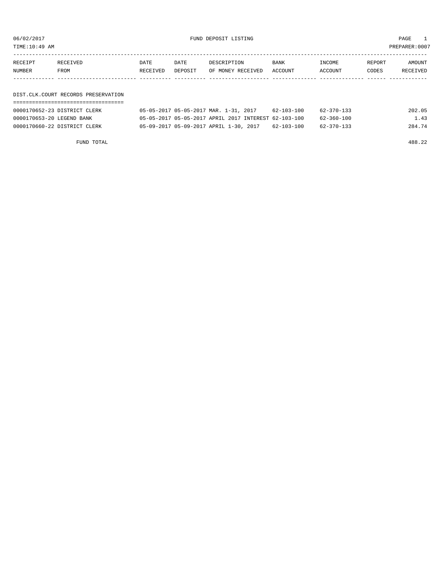06/02/2017 FUND DEPOSIT LISTING PAGE 1

| RECEIPT | RECEIVED | DATE     | DATE    | DESCRIPTION               | <b>BANK</b> | INCOME  | REPORT | <b>AMOUNT</b> |
|---------|----------|----------|---------|---------------------------|-------------|---------|--------|---------------|
| NUMBER  | FROM     | RECEIVED | DEPOSIT | OF MONEY RECEIVED ACCOUNT |             | ACCOUNT | CODES  | RECEIVED      |
|         |          |          |         |                           |             |         |        |               |

#### DIST.CLK.COURT RECORDS PRESERVATION ===================================

| 0000170652-23 DISTRICT CLERK | 05-05-2017 05-05-2017 MAR. 1-31, 2017                |  |  | 62-103-100 | 62-370-133 | 202.05 |
|------------------------------|------------------------------------------------------|--|--|------------|------------|--------|
| 0000170653-20 LEGEND BANK    | 05-05-2017 05-05-2017 APRIL 2017 INTEREST 62-103-100 |  |  |            | 62-360-100 | 1.43   |
| 0000170660-22 DISTRICT CLERK | 05-09-2017 05-09-2017 APRIL 1-30, 2017               |  |  | 62-103-100 | 62-370-133 | 284.74 |

FUND TOTAL 488.22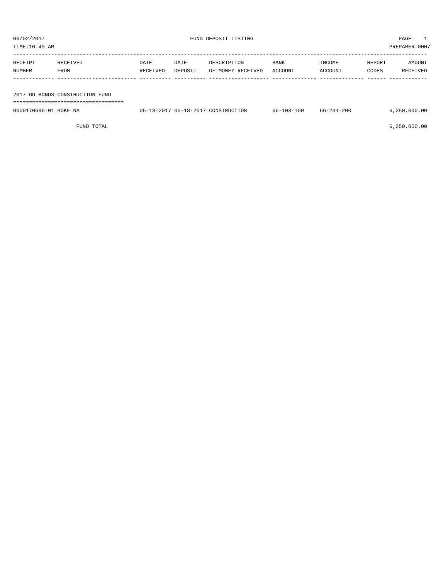| TIME:10:49 AM |          |          |         |                   |             |         |        | PREPARER: 0007  |
|---------------|----------|----------|---------|-------------------|-------------|---------|--------|-----------------|
|               |          |          |         |                   |             |         |        |                 |
| RECEIPT       | RECEIVED | DATE     | DATE    | DESCRIPTION       | <b>BANK</b> | INCOME  | REPORT | AMOUNT          |
| NUMBER        | FROM     | RECEIVED | DEPOSIT | OF MONEY RECEIVED | ACCOUNT     | ACCOUNT | CODES  | <b>RECEIVED</b> |
|               |          |          |         |                   |             |         |        |                 |

| 2017 GO BONDS-CONSTRUCTION FUND |  |
|---------------------------------|--|
|---------------------------------|--|

===================================

0000170696-01 BOKF NA  $05-18-2017$  05-18-2017 CONSTRUCTION 66-103-100 66-231-200 6,250,000.00

FUND TOTAL 6,250,000.00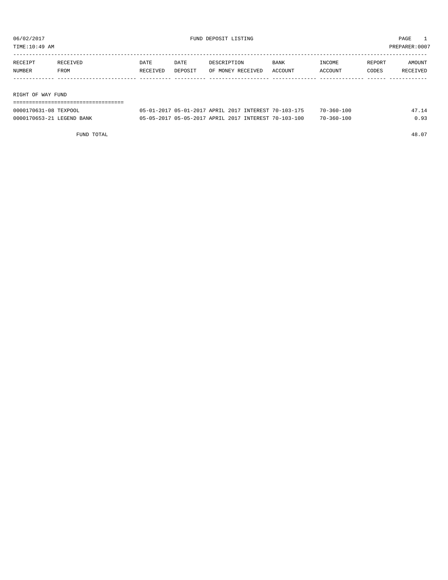TIME:10:49 AM PREPARER:0007

| RECEIPT | RECEIVED | DATE     | DATE    | DESCRIPTION       | <b>BANK</b> | INCOME  | REPORT | AMOUNT   |
|---------|----------|----------|---------|-------------------|-------------|---------|--------|----------|
| NUMBER  | FROM     | RECEIVED | DEPOSIT | OF MONEY RECEIVED | ACCOUNT     | ACCOUNT | CODES  | RECEIVED |
|         |          |          |         |                   |             |         |        |          |
|         |          |          |         |                   |             |         |        |          |

RIGHT OF WAY FUND

| -------------------------------------<br>------------------------------------ |  |
|-------------------------------------------------------------------------------|--|
|                                                                               |  |

| 0000170631-08 TEXPOOL     | 05-01-2017 05-01-2017 APRIL 2017 INTEREST 70-103-175 | $70 - 360 - 100$ |      |
|---------------------------|------------------------------------------------------|------------------|------|
| 0000170653-21 LEGEND BANK | 05-05-2017 05-05-2017 APRIL 2017 INTEREST 70-103-100 | $70 - 360 - 100$ | 0.93 |

FUND TOTAL 48.07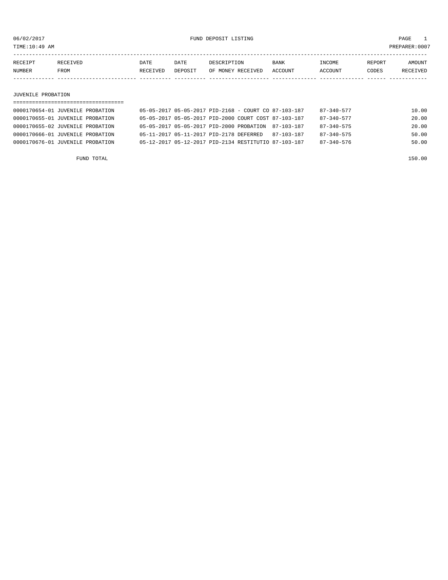TIME:10:49 AM PREPARER:0007

| RECEIPT | <b>RECEIVED</b> | DATE            | DATE    | DESCRIPTION       | <b>BANK</b> | <b>INCOME</b> | REPORT | AMOUNT          |
|---------|-----------------|-----------------|---------|-------------------|-------------|---------------|--------|-----------------|
| NUMBER  | FROM            | <b>RECEIVED</b> | DEPOSIT | OF MONEY RECEIVED | ACCOUNT     | ACCOUNT       | CODES  | <b>RECEIVED</b> |
|         |                 |                 |         |                   |             |               |        |                 |

#### JUVENILE PROBATION

| 0000170654-01 JUVENILE PROBATION | 05-05-2017 05-05-2017 PID-2168 - COURT CO 87-103-187 |  |            | $87 - 340 - 577$ | 10.00 |
|----------------------------------|------------------------------------------------------|--|------------|------------------|-------|
| 0000170655-01 JUVENILE PROBATION | 05-05-2017 05-05-2017 PID-2000 COURT COST 87-103-187 |  |            | $87 - 340 - 577$ | 20.00 |
| 0000170655-02 JUVENILE PROBATION | 05-05-2017 05-05-2017 PID-2000 PROBATION 87-103-187  |  |            | $87 - 340 - 575$ | 20.00 |
| 0000170666-01 JUVENILE PROBATION | 05-11-2017 05-11-2017 PID-2178 DEFERRED              |  | 87-103-187 | $87 - 340 - 575$ | 50.00 |
| 0000170676-01 JUVENILE PROBATION | 05-12-2017 05-12-2017 PID-2134 RESTITUTIO 87-103-187 |  |            | $87 - 340 - 576$ | 50.00 |
|                                  |                                                      |  |            |                  |       |

FUND TOTAL 150.00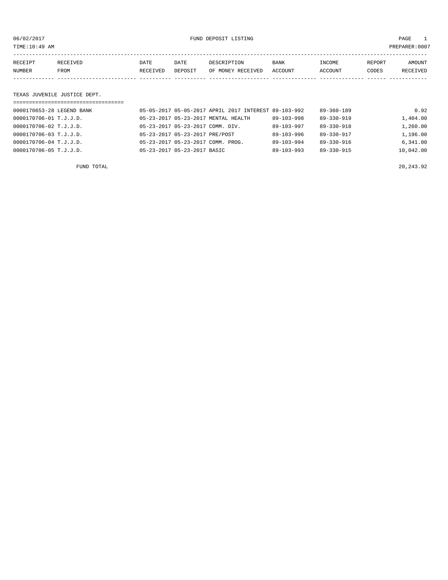06/02/2017 FUND DEPOSIT LISTING PAGE 1

| RECEIPT | RECEIVED | DATE            | DATE    | DESCRIPTION       | <b>BANK</b> | INCOME  | REPORT | AMOUNT          |
|---------|----------|-----------------|---------|-------------------|-------------|---------|--------|-----------------|
| NUMBER  | FROM     | <b>RECEIVED</b> | DEPOSIT | OF MONEY RECEIVED | ACCOUNT     | ACCOUNT | CODES  | <b>RECEIVED</b> |
|         |          |                 |         |                   |             |         |        |                 |

#### TEXAS JUVENILE JUSTICE DEPT.

| =================================== |                                  |                                                      |                  |                  |           |
|-------------------------------------|----------------------------------|------------------------------------------------------|------------------|------------------|-----------|
| 0000170653-28 LEGEND BANK           |                                  | 05-05-2017 05-05-2017 APRIL 2017 INTEREST 89-103-992 |                  | $89 - 360 - 189$ | 0.92      |
| 0000170706-01 T.J.J.D.              |                                  | 05-23-2017 05-23-2017 MENTAL HEALTH                  | $89 - 103 - 998$ | $89 - 330 - 919$ | 1,404.00  |
| 0000170706-02 T.J.J.D.              | 05-23-2017 05-23-2017 COMM. DIV. |                                                      | $89 - 103 - 997$ | $89 - 330 - 918$ | 1,260.00  |
| 0000170706-03 T.J.J.D.              | 05-23-2017 05-23-2017 PRE/POST   |                                                      | $89 - 103 - 996$ | $89 - 330 - 917$ | 1,196.00  |
| 0000170706-04 T.J.J.D.              |                                  | 05-23-2017 05-23-2017 COMM. PROG.                    | $89 - 103 - 994$ | $89 - 330 - 916$ | 6,341.00  |
| 0000170706-05 T.J.J.D.              | 05-23-2017 05-23-2017 BASIC      |                                                      | $89 - 103 - 993$ | 89-330-915       | 10,042.00 |
|                                     |                                  |                                                      |                  |                  |           |

FUND TOTAL 20,243.92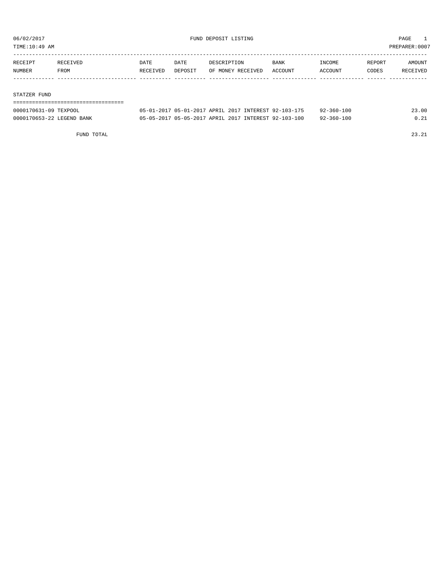TIME:10:49 AM PREPARER:0007

| RECEIPT | <b>RECEIVED</b> | DATE     | DATE    | DESCRIPTION       | <b>BANK</b> | <b>TNCOME</b> | REPORT | AMOUNT          |
|---------|-----------------|----------|---------|-------------------|-------------|---------------|--------|-----------------|
| NUMBER  | FROM            | RECEIVED | DEPOSIT | OF MONEY RECEIVED | ACCOUNT     | ACCOUNT       | CODES  | <b>RECEIVED</b> |
|         |                 |          |         |                   |             |               |        |                 |

0000170653-22 LEGEND BANK 05-05-2017 05-05-2017 APRIL 2017 INTEREST 92-103-100 92-360-100 0.21

#### STATZER FUND

=================================== 0000170631-09 TEXPOOL 05-01-2017 05-01-2017 APRIL 2017 INTEREST 92-103-175 92-360-100 23.00

FUND TOTAL 23.21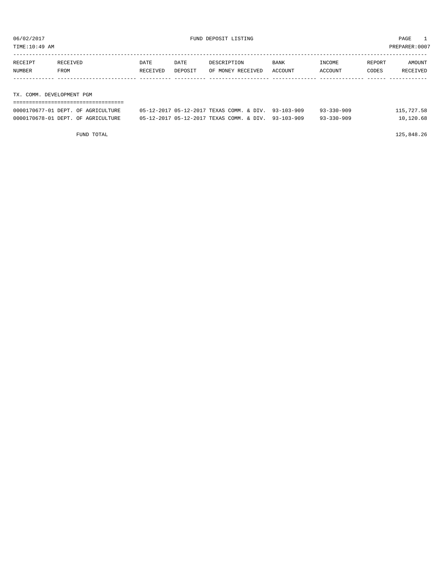TIME:10:49 AM PREPARER:0007

| RECEIPT                   | RECEIVED | DATE     | DATE    | DESCRIPTION       | <b>BANK</b> | INCOME  | REPORT | AMOUNT   |
|---------------------------|----------|----------|---------|-------------------|-------------|---------|--------|----------|
| NUMBER                    | FROM     | RECEIVED | DEPOSIT | OF MONEY RECEIVED | ACCOUNT     | ACCOUNT | CODES  | RECEIVED |
|                           |          |          |         |                   |             |         |        |          |
|                           |          |          |         |                   |             |         |        |          |
| TX. COMM. DEVELOPMENT PGM |          |          |         |                   |             |         |        |          |
|                           |          |          |         |                   |             |         |        |          |

| 0000170677-01 DEPT. OF AGRICULTURE | 05-12-2017 05-12-2017 TEXAS COMM. & DIV. 93-103-909 | 115,727.58<br>$93 - 330 - 909$ |
|------------------------------------|-----------------------------------------------------|--------------------------------|
| 0000170678-01 DEPT. OF AGRICULTURE | 05-12-2017 05-12-2017 TEXAS COMM, & DIV, 93-103-909 | 10,120.68<br>$93 - 330 - 909$  |

FUND TOTAL 125,848.26